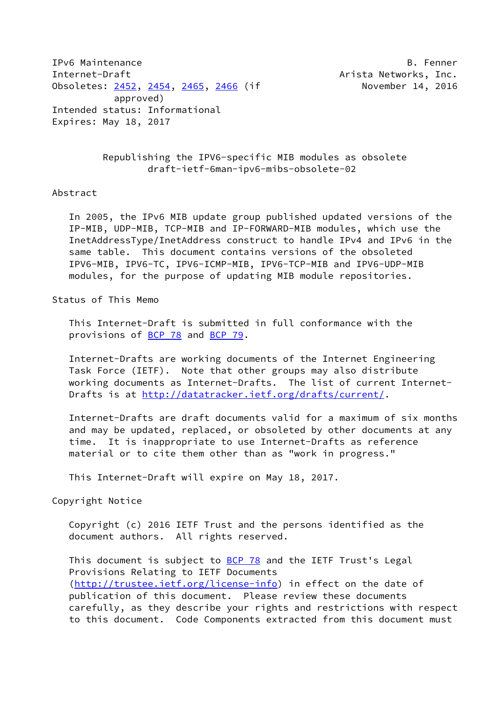IPv6 Maintenance B. Fenner Internet-Draft **Arista Networks**, Inc. Obsoletes: [2452](https://datatracker.ietf.org/doc/pdf/rfc2452), [2454](https://datatracker.ietf.org/doc/pdf/rfc2454), [2465,](https://datatracker.ietf.org/doc/pdf/rfc2465) [2466](https://datatracker.ietf.org/doc/pdf/rfc2466) (if November 14, 2016 approved) Intended status: Informational Expires: May 18, 2017

 Republishing the IPV6-specific MIB modules as obsolete draft-ietf-6man-ipv6-mibs-obsolete-02

## Abstract

 In 2005, the IPv6 MIB update group published updated versions of the IP-MIB, UDP-MIB, TCP-MIB and IP-FORWARD-MIB modules, which use the InetAddressType/InetAddress construct to handle IPv4 and IPv6 in the same table. This document contains versions of the obsoleted IPV6-MIB, IPV6-TC, IPV6-ICMP-MIB, IPV6-TCP-MIB and IPV6-UDP-MIB modules, for the purpose of updating MIB module repositories.

## Status of This Memo

 This Internet-Draft is submitted in full conformance with the provisions of **BCP 78** and **BCP 79**.

 Internet-Drafts are working documents of the Internet Engineering Task Force (IETF). Note that other groups may also distribute working documents as Internet-Drafts. The list of current Internet Drafts is at<http://datatracker.ietf.org/drafts/current/>.

 Internet-Drafts are draft documents valid for a maximum of six months and may be updated, replaced, or obsoleted by other documents at any time. It is inappropriate to use Internet-Drafts as reference material or to cite them other than as "work in progress."

This Internet-Draft will expire on May 18, 2017.

Copyright Notice

 Copyright (c) 2016 IETF Trust and the persons identified as the document authors. All rights reserved.

This document is subject to **[BCP 78](https://datatracker.ietf.org/doc/pdf/bcp78)** and the IETF Trust's Legal Provisions Relating to IETF Documents [\(http://trustee.ietf.org/license-info](http://trustee.ietf.org/license-info)) in effect on the date of publication of this document. Please review these documents carefully, as they describe your rights and restrictions with respect to this document. Code Components extracted from this document must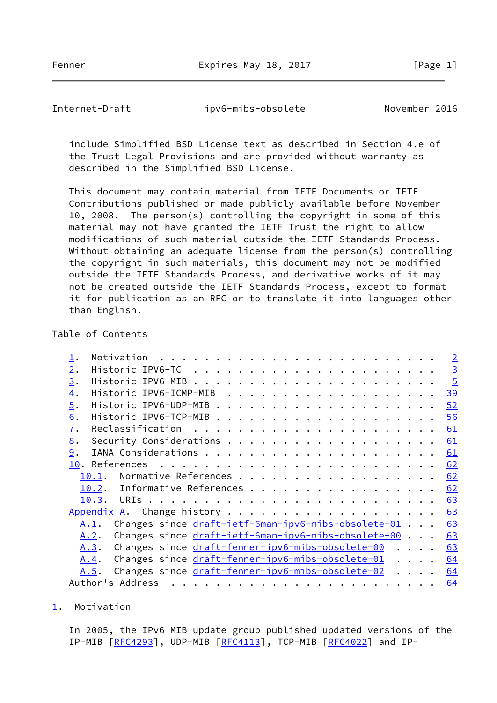Fenner Expires May 18, 2017 [Page 1]

<span id="page-1-1"></span>Internet-Draft ipv6-mibs-obsolete November 2016

 include Simplified BSD License text as described in Section 4.e of the Trust Legal Provisions and are provided without warranty as described in the Simplified BSD License.

 This document may contain material from IETF Documents or IETF Contributions published or made publicly available before November 10, 2008. The person(s) controlling the copyright in some of this material may not have granted the IETF Trust the right to allow modifications of such material outside the IETF Standards Process. Without obtaining an adequate license from the person(s) controlling the copyright in such materials, this document may not be modified outside the IETF Standards Process, and derivative works of it may not be created outside the IETF Standards Process, except to format it for publication as an RFC or to translate it into languages other than English.

## Table of Contents

|                  |                                                                     |  | $\overline{2}$ |
|------------------|---------------------------------------------------------------------|--|----------------|
| 2.               |                                                                     |  | $\overline{3}$ |
| 3.               |                                                                     |  | $\frac{5}{2}$  |
| $\overline{4}$ . |                                                                     |  | <u>39</u>      |
| $\overline{5}$ . |                                                                     |  | 52             |
| 6.               |                                                                     |  | 56             |
| $\mathbf{I}$ .   |                                                                     |  | <u>61</u>      |
| 8.               |                                                                     |  | 61             |
| 9.               |                                                                     |  | 61             |
|                  |                                                                     |  | 62             |
|                  | Normative References<br>10.1.                                       |  | 62             |
|                  | Informative References<br>10.2.                                     |  | 62             |
|                  | 10.3.                                                               |  | 63             |
|                  |                                                                     |  | 63             |
|                  | Changes since draft-ietf-6man-ipv6-mibs-obsolete-01<br><u>A.1</u> . |  | 63             |
|                  | Changes since draft-ietf-6man-ipv6-mibs-obsolete-00<br>A.2.         |  | 63             |
|                  | Changes since draft-fenner-ipv6-mibs-obsolete-00<br>A.3.            |  | 63             |
|                  | Changes since draft-fenner-ipv6-mibs-obsolete-01<br>A.4.            |  | 64             |
|                  | Changes since draft-fenner-ipv6-mibs-obsolete-02<br>A.5.            |  | 64             |
|                  | Author's Address                                                    |  | 64             |

<span id="page-1-0"></span>[1](#page-1-0). Motivation

 In 2005, the IPv6 MIB update group published updated versions of the IP-MIB [\[RFC4293](https://datatracker.ietf.org/doc/pdf/rfc4293)], UDP-MIB [[RFC4113](https://datatracker.ietf.org/doc/pdf/rfc4113)], TCP-MIB [\[RFC4022](https://datatracker.ietf.org/doc/pdf/rfc4022)] and IP-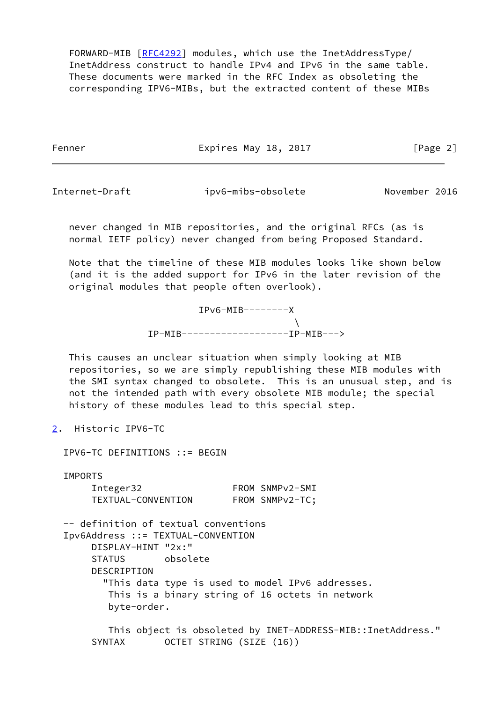FORWARD-MIB [\[RFC4292](https://datatracker.ietf.org/doc/pdf/rfc4292)] modules, which use the InetAddressType/ InetAddress construct to handle IPv4 and IPv6 in the same table. These documents were marked in the RFC Index as obsoleting the corresponding IPV6-MIBs, but the extracted content of these MIBs

Fenner Expires May 18, 2017 [Page 2]

<span id="page-2-1"></span>

Internet-Draft ipv6-mibs-obsolete November 2016

 never changed in MIB repositories, and the original RFCs (as is normal IETF policy) never changed from being Proposed Standard.

 Note that the timeline of these MIB modules looks like shown below (and it is the added support for IPv6 in the later revision of the original modules that people often overlook).

> $IPv6-MIB------X$  $\mathcal{N}$ IP-MIB-------------------IP-MIB--->

 This causes an unclear situation when simply looking at MIB repositories, so we are simply republishing these MIB modules with the SMI syntax changed to obsolete. This is an unusual step, and is not the intended path with every obsolete MIB module; the special history of these modules lead to this special step.

<span id="page-2-0"></span>[2](#page-2-0). Historic IPV6-TC

IPV6-TC DEFINITIONS ::= BEGIN

**TMPORTS**  Integer32 FROM SNMPv2-SMI TEXTUAL-CONVENTION FROM SNMPv2-TC; -- definition of textual conventions

 Ipv6Address ::= TEXTUAL-CONVENTION DISPLAY-HINT "2x:" STATUS obsolete DESCRIPTION "This data type is used to model IPv6 addresses. This is a binary string of 16 octets in network byte-order.

 This object is obsoleted by INET-ADDRESS-MIB::InetAddress." SYNTAX OCTET STRING (SIZE (16))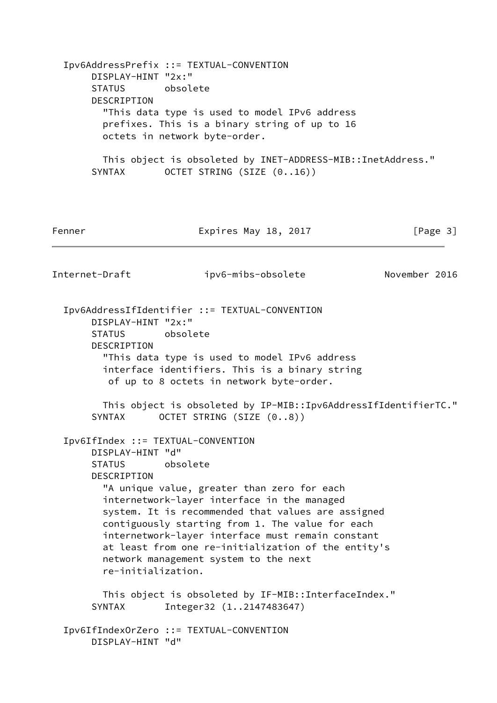Ipv6AddressPrefix ::= TEXTUAL-CONVENTION DISPLAY-HINT "2x:" STATUS obsolete DESCRIPTION "This data type is used to model IPv6 address prefixes. This is a binary string of up to 16 octets in network byte-order. This object is obsoleted by INET-ADDRESS-MIB::InetAddress." SYNTAX OCTET STRING (SIZE  $(0..16)$ ) Fenner Fenner Expires May 18, 2017 Fenner Fage 3 Internet-Draft ipv6-mibs-obsolete November 2016 Ipv6AddressIfIdentifier ::= TEXTUAL-CONVENTION DISPLAY-HINT "2x:" STATUS obsolete DESCRIPTION "This data type is used to model IPv6 address interface identifiers. This is a binary string of up to 8 octets in network byte-order. This object is obsoleted by IP-MIB::Ipv6AddressIfIdentifierTC." SYNTAX OCTET STRING (SIZE  $(0..8)$ ) Ipv6IfIndex ::= TEXTUAL-CONVENTION DISPLAY-HINT "d" STATUS obsolete DESCRIPTION "A unique value, greater than zero for each internetwork-layer interface in the managed system. It is recommended that values are assigned contiguously starting from 1. The value for each internetwork-layer interface must remain constant at least from one re-initialization of the entity's network management system to the next re-initialization. This object is obsoleted by IF-MIB::InterfaceIndex." SYNTAX Integer32 (1..2147483647) Ipv6IfIndexOrZero ::= TEXTUAL-CONVENTION DISPLAY-HINT "d"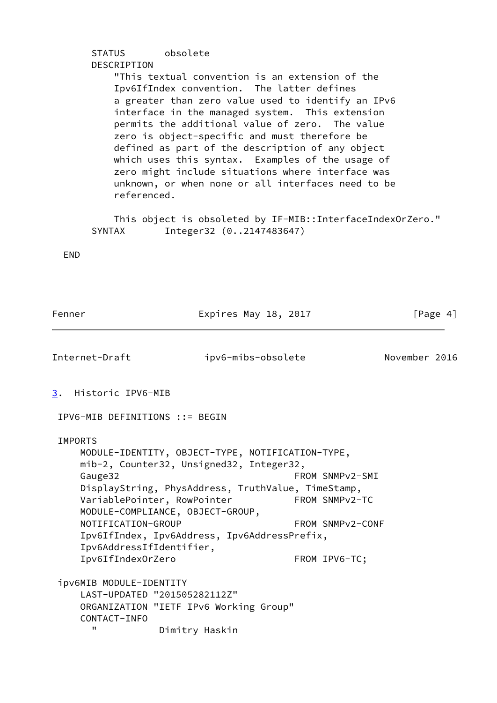## STATUS obsolete DESCRIPTION "This textual convention is an extension of the Ipv6IfIndex convention. The latter defines a greater than zero value used to identify an IPv6 interface in the managed system. This extension permits the additional value of zero. The value zero is object-specific and must therefore be defined as part of the description of any object which uses this syntax. Examples of the usage of zero might include situations where interface was unknown, or when none or all interfaces need to be referenced.

 This object is obsoleted by IF-MIB::InterfaceIndexOrZero." SYNTAX Integer32 (0..2147483647)

END

<span id="page-4-1"></span><span id="page-4-0"></span>

| Fenner                                                                                                                          | Expires May 18, 2017                                                                                                                                                                                                                                     | [Page 4]                                             |
|---------------------------------------------------------------------------------------------------------------------------------|----------------------------------------------------------------------------------------------------------------------------------------------------------------------------------------------------------------------------------------------------------|------------------------------------------------------|
| Internet-Draft                                                                                                                  | ipv6-mibs-obsolete                                                                                                                                                                                                                                       | November 2016                                        |
| Historic IPV6-MIB<br>3.                                                                                                         |                                                                                                                                                                                                                                                          |                                                      |
| IPV6-MIB DEFINITIONS ::= BEGIN                                                                                                  |                                                                                                                                                                                                                                                          |                                                      |
| <b>IMPORTS</b><br>Gauge32<br>VariablePointer, RowPointer<br>NOTIFICATION-GROUP<br>Ipv6AddressIfIdentifier,<br>Ipv6IfIndex0rZero | MODULE-IDENTITY, OBJECT-TYPE, NOTIFICATION-TYPE,<br>mib-2, Counter32, Unsigned32, Integer32,<br>DisplayString, PhysAddress, TruthValue, TimeStamp,<br>FROM SNMPv2-TC<br>MODULE-COMPLIANCE, OBJECT-GROUP,<br>Ipv6IfIndex, Ipv6Address, Ipv6AddressPrefix, | FROM SNMPv2-SMI<br>FROM SNMPv2-CONF<br>FROM IPV6-TC; |
| ipv6MIB MODULE-IDENTITY<br>LAST-UPDATED "201505282112Z"<br>CONTACT-INFO<br>п                                                    | ORGANIZATION "IETF IPv6 Working Group"<br>Dimitry Haskin                                                                                                                                                                                                 |                                                      |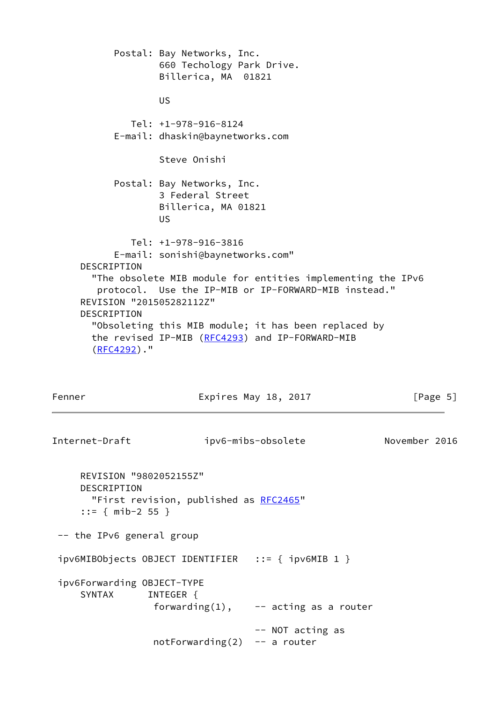Postal: Bay Networks, Inc. 660 Techology Park Drive. Billerica, MA 01821 US And the Contract of the US Tel: +1-978-916-8124 E-mail: dhaskin@baynetworks.com Steve Onishi Postal: Bay Networks, Inc. 3 Federal Street Billerica, MA 01821 US And the Contract of the US Tel: +1-978-916-3816 E-mail: sonishi@baynetworks.com" DESCRIPTION "The obsolete MIB module for entities implementing the IPv6 protocol. Use the IP-MIB or IP-FORWARD-MIB instead." REVISION "201505282112Z" DESCRIPTION "Obsoleting this MIB module; it has been replaced by the revised IP-MIB [\(RFC4293](https://datatracker.ietf.org/doc/pdf/rfc4293)) and IP-FORWARD-MIB [\(RFC4292](https://datatracker.ietf.org/doc/pdf/rfc4292))."

Fenner Expires May 18, 2017 [Page 5]

Internet-Draft ipv6-mibs-obsolete November 2016 REVISION "9802052155Z" DESCRIPTION "First revision, published as [RFC2465](https://datatracker.ietf.org/doc/pdf/rfc2465)" ::= { mib-2 55 } -- the IPv6 general group ipv6MIBObjects OBJECT IDENTIFIER ::= { ipv6MIB 1 } ipv6Forwarding OBJECT-TYPE SYNTAX INTEGER { forwarding $(1)$ , -- acting as a router -- NOT acting as notForwarding $(2)$  -- a router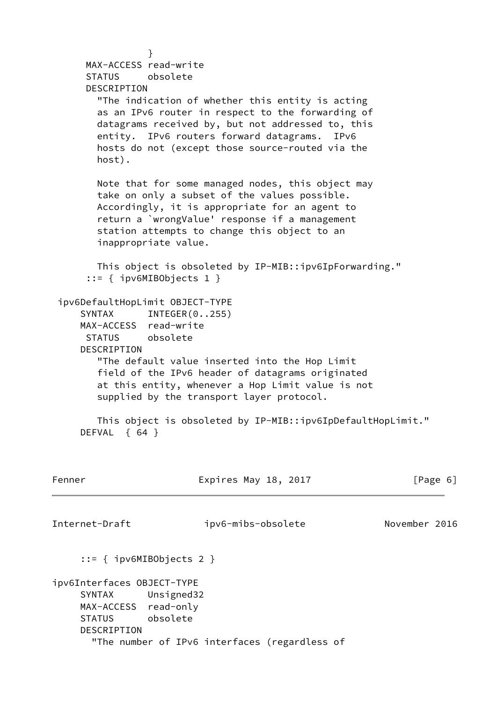} MAX-ACCESS read-write STATUS obsolete DESCRIPTION "The indication of whether this entity is acting as an IPv6 router in respect to the forwarding of datagrams received by, but not addressed to, this entity. IPv6 routers forward datagrams. IPv6 hosts do not (except those source-routed via the host). Note that for some managed nodes, this object may take on only a subset of the values possible. Accordingly, it is appropriate for an agent to return a `wrongValue' response if a management station attempts to change this object to an inappropriate value. This object is obsoleted by IP-MIB::ipv6IpForwarding." ::= { ipv6MIBObjects 1 } ipv6DefaultHopLimit OBJECT-TYPE SYNTAX INTEGER(0..255) MAX-ACCESS read-write STATUS obsolete DESCRIPTION "The default value inserted into the Hop Limit field of the IPv6 header of datagrams originated at this entity, whenever a Hop Limit value is not supplied by the transport layer protocol. This object is obsoleted by IP-MIB::ipv6IpDefaultHopLimit." DEFVAL { 64 } Fenner Expires May 18, 2017 [Page 6] Internet-Draft ipv6-mibs-obsolete November 2016 ::= { ipv6MIBObjects 2 } ipv6Interfaces OBJECT-TYPE SYNTAX Unsigned32 MAX-ACCESS read-only STATUS obsolete DESCRIPTION "The number of IPv6 interfaces (regardless of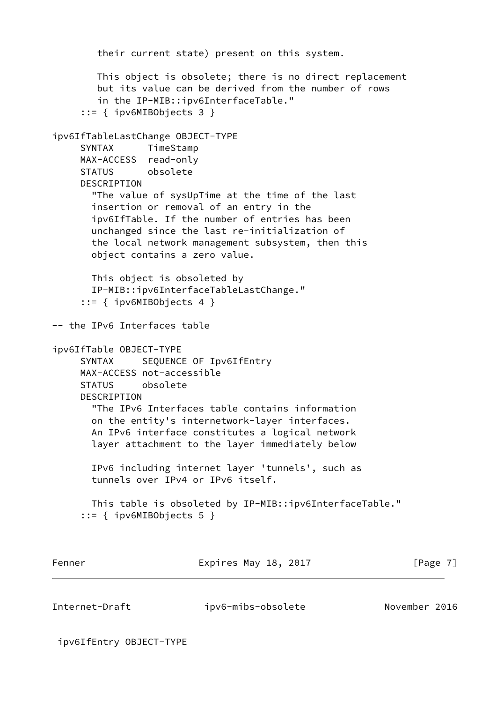```
 their current state) present on this system.
        This object is obsolete; there is no direct replacement
        but its value can be derived from the number of rows
        in the IP-MIB::ipv6InterfaceTable."
      ::= { ipv6MIBObjects 3 }
ipv6IfTableLastChange OBJECT-TYPE
      SYNTAX TimeStamp
     MAX-ACCESS read-only
     STATUS obsolete
     DESCRIPTION
        "The value of sysUpTime at the time of the last
       insertion or removal of an entry in the
       ipv6IfTable. If the number of entries has been
       unchanged since the last re-initialization of
       the local network management subsystem, then this
       object contains a zero value.
       This object is obsoleted by
       IP-MIB::ipv6InterfaceTableLastChange."
      ::= { ipv6MIBObjects 4 }
-- the IPv6 Interfaces table
ipv6IfTable OBJECT-TYPE
     SYNTAX SEQUENCE OF Ipv6IfEntry
     MAX-ACCESS not-accessible
     STATUS obsolete
     DESCRIPTION
        "The IPv6 Interfaces table contains information
       on the entity's internetwork-layer interfaces.
       An IPv6 interface constitutes a logical network
       layer attachment to the layer immediately below
       IPv6 including internet layer 'tunnels', such as
       tunnels over IPv4 or IPv6 itself.
       This table is obsoleted by IP-MIB::ipv6InterfaceTable."
      ::= { ipv6MIBObjects 5 }
Fenner Expires May 18, 2017 [Page 7]
```
Internet-Draft ipv6-mibs-obsolete November 2016

ipv6IfEntry OBJECT-TYPE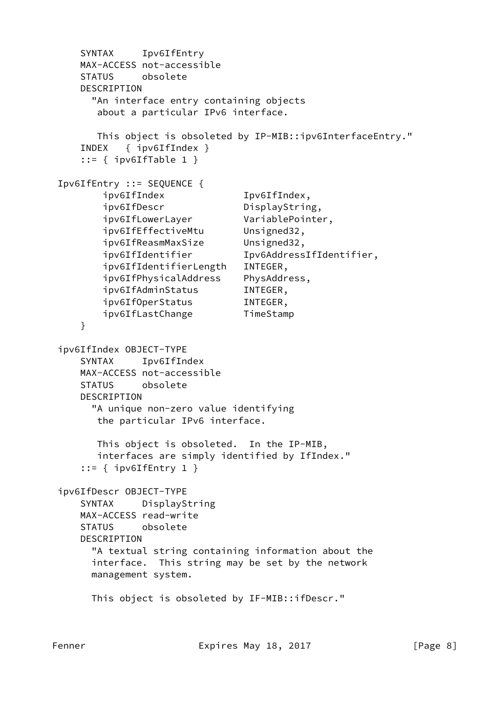```
 SYNTAX Ipv6IfEntry
    MAX-ACCESS not-accessible
    STATUS obsolete
    DESCRIPTION
      "An interface entry containing objects
       about a particular IPv6 interface.
       This object is obsoleted by IP-MIB::ipv6InterfaceEntry."
    INDEX { ipv6IfIndex }
   ::= \{ ipv6IfTable 1 \} Ipv6IfEntry ::= SEQUENCE {
        ipv6IfIndex Ipv6IfIndex,
       ipv6IfDescr DisplayString,
        ipv6IfLowerLayer VariablePointer,
        ipv6IfEffectiveMtu Unsigned32,
        ipv6IfReasmMaxSize Unsigned32,
        ipv6IfIdentifier Ipv6AddressIfIdentifier,
        ipv6IfIdentifierLength INTEGER,
        ipv6IfPhysicalAddress PhysAddress,
        ipv6IfAdminStatus INTEGER,
        ipv6IfOperStatus INTEGER,
       ipv6IfLastChange TimeStamp
    }
 ipv6IfIndex OBJECT-TYPE
    SYNTAX Ipv6IfIndex
    MAX-ACCESS not-accessible
    STATUS obsolete
    DESCRIPTION
      "A unique non-zero value identifying
       the particular IPv6 interface.
       This object is obsoleted. In the IP-MIB,
       interfaces are simply identified by IfIndex."
    ::= { ipv6IfEntry 1 }
 ipv6IfDescr OBJECT-TYPE
    SYNTAX DisplayString
    MAX-ACCESS read-write
    STATUS obsolete
    DESCRIPTION
      "A textual string containing information about the
      interface. This string may be set by the network
      management system.
      This object is obsoleted by IF-MIB::ifDescr."
```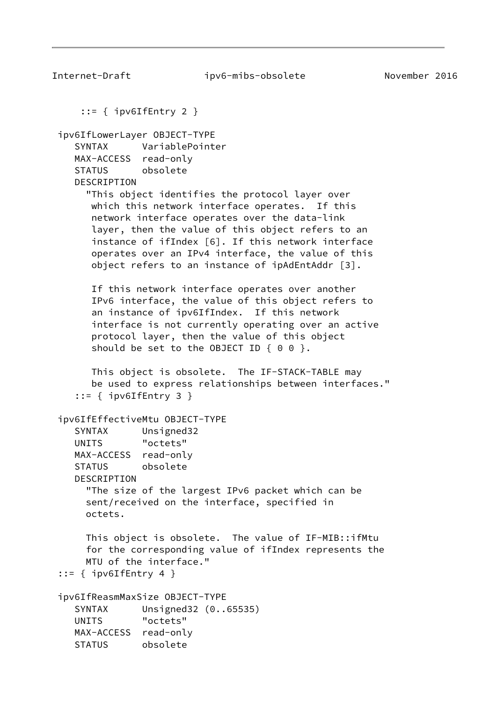Internet-Draft ipv6-mibs-obsolete November 2016 ::= { ipv6IfEntry 2 } ipv6IfLowerLayer OBJECT-TYPE SYNTAX VariablePointer MAX-ACCESS read-only STATUS obsolete DESCRIPTION "This object identifies the protocol layer over which this network interface operates. If this network interface operates over the data-link layer, then the value of this object refers to an instance of ifIndex [6]. If this network interface operates over an IPv4 interface, the value of this object refers to an instance of ipAdEntAddr [3]. If this network interface operates over another IPv6 interface, the value of this object refers to an instance of ipv6IfIndex. If this network interface is not currently operating over an active protocol layer, then the value of this object should be set to the OBJECT ID  $\{ 0 0 \}$ . This object is obsolete. The IF-STACK-TABLE may be used to express relationships between interfaces." ::= { ipv6IfEntry 3 } ipv6IfEffectiveMtu OBJECT-TYPE SYNTAX Unsigned32 UNITS "octets" MAX-ACCESS read-only STATUS obsolete DESCRIPTION "The size of the largest IPv6 packet which can be sent/received on the interface, specified in octets. This object is obsolete. The value of IF-MIB::ifMtu for the corresponding value of ifIndex represents the MTU of the interface." ::=  $\{$  ipv6IfEntry 4  $\}$  ipv6IfReasmMaxSize OBJECT-TYPE SYNTAX Unsigned32 (0..65535) UNITS "octets" MAX-ACCESS read-only STATUS obsolete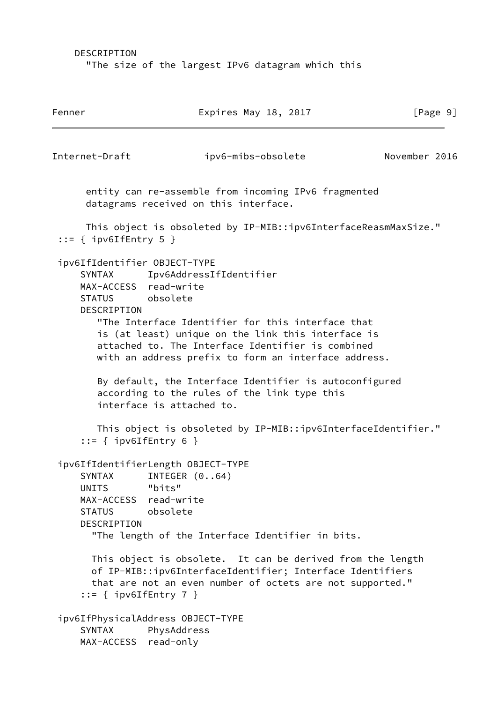DESCRIPTION "The size of the largest IPv6 datagram which this

Fenner Expires May 18, 2017 [Page 9] Internet-Draft ipv6-mibs-obsolete November 2016 entity can re-assemble from incoming IPv6 fragmented datagrams received on this interface. This object is obsoleted by IP-MIB::ipv6InterfaceReasmMaxSize." ::=  $\{$  ipv6IfEntry 5  $\}$  ipv6IfIdentifier OBJECT-TYPE SYNTAX Ipv6AddressIfIdentifier MAX-ACCESS read-write STATUS obsolete DESCRIPTION "The Interface Identifier for this interface that is (at least) unique on the link this interface is attached to. The Interface Identifier is combined with an address prefix to form an interface address. By default, the Interface Identifier is autoconfigured according to the rules of the link type this interface is attached to. This object is obsoleted by IP-MIB::ipv6InterfaceIdentifier." ::= { ipv6IfEntry 6 } ipv6IfIdentifierLength OBJECT-TYPE SYNTAX INTEGER (0..64) UNITS "bits" MAX-ACCESS read-write STATUS obsolete DESCRIPTION "The length of the Interface Identifier in bits. This object is obsolete. It can be derived from the length of IP-MIB::ipv6InterfaceIdentifier; Interface Identifiers that are not an even number of octets are not supported."  $::=$  { ipv6IfEntry 7 } ipv6IfPhysicalAddress OBJECT-TYPE SYNTAX PhysAddress MAX-ACCESS read-only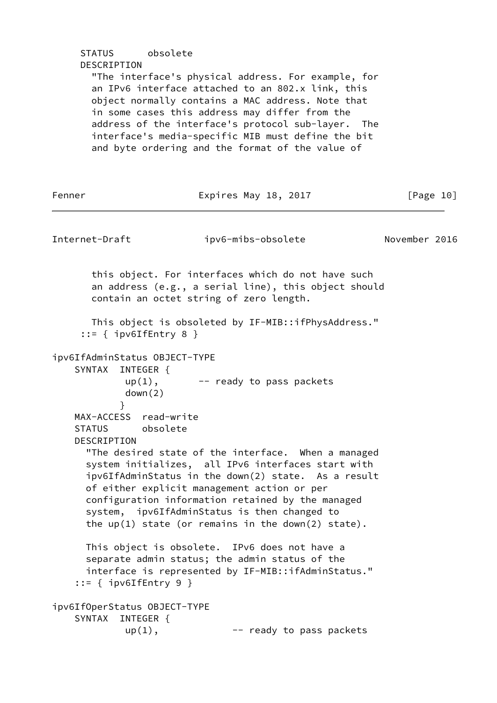| STATUS obsolete<br>DESCRIPTION<br>"The interface's physical address. For example, for<br>an IPv6 interface attached to an 802.x link, this<br>object normally contains a MAC address. Note that<br>in some cases this address may differ from the<br>address of the interface's protocol sub-layer. The<br>interface's media-specific MIB must define the bit<br>and byte ordering and the format of the value of |                                                                                                                                                                                                                                                                                                                                                                              |               |  |  |  |
|-------------------------------------------------------------------------------------------------------------------------------------------------------------------------------------------------------------------------------------------------------------------------------------------------------------------------------------------------------------------------------------------------------------------|------------------------------------------------------------------------------------------------------------------------------------------------------------------------------------------------------------------------------------------------------------------------------------------------------------------------------------------------------------------------------|---------------|--|--|--|
| Fenner                                                                                                                                                                                                                                                                                                                                                                                                            | Expires May 18, 2017                                                                                                                                                                                                                                                                                                                                                         | [Page 10]     |  |  |  |
| Internet-Draft                                                                                                                                                                                                                                                                                                                                                                                                    | ipv6-mibs-obsolete                                                                                                                                                                                                                                                                                                                                                           | November 2016 |  |  |  |
| $::=$ { ipv6IfEntry 8 }                                                                                                                                                                                                                                                                                                                                                                                           | this object. For interfaces which do not have such<br>an address (e.g., a serial line), this object should<br>contain an octet string of zero length.<br>This object is obsoleted by IF-MIB::ifPhysAddress."                                                                                                                                                                 |               |  |  |  |
| ipv6IfAdminStatus OBJECT-TYPE<br>SYNTAX INTEGER {<br>$up(1)$ ,<br>down(2)                                                                                                                                                                                                                                                                                                                                         | -- ready to pass packets                                                                                                                                                                                                                                                                                                                                                     |               |  |  |  |
| }<br>MAX-ACCESS read-write<br>STATUS obsolete<br><b>DESCRIPTION</b>                                                                                                                                                                                                                                                                                                                                               | "The desired state of the interface. When a managed<br>system initializes, all IPv6 interfaces start with<br>ipv6IfAdminStatus in the down(2) state. As a result<br>of either explicit management action or per<br>configuration information retained by the managed<br>system, ipv6IfAdminStatus is then changed to<br>the $up(1)$ state (or remains in the down(2) state). |               |  |  |  |
| $::=$ { ipv6IfEntry 9 }                                                                                                                                                                                                                                                                                                                                                                                           | This object is obsolete. IPv6 does not have a<br>separate admin status; the admin status of the<br>interface is represented by IF-MIB::ifAdminStatus."                                                                                                                                                                                                                       |               |  |  |  |
| ipv6If0perStatus 0BJECT-TYPE<br>SYNTAX<br>INTEGER {<br>$up(1)$ ,                                                                                                                                                                                                                                                                                                                                                  | -- ready to pass packets                                                                                                                                                                                                                                                                                                                                                     |               |  |  |  |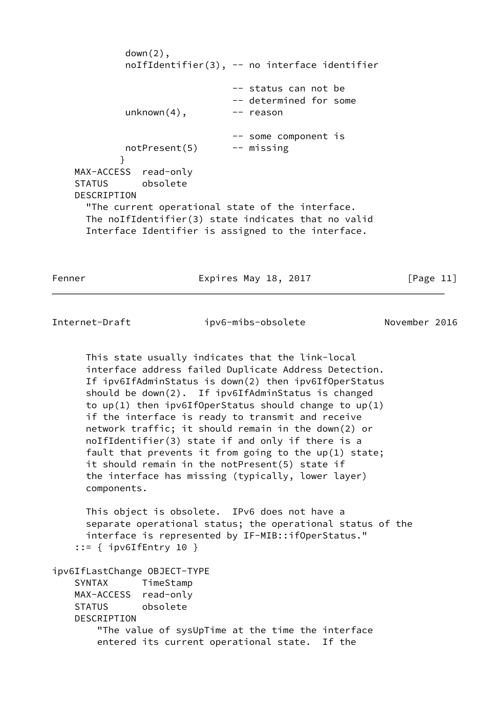down(2), noIfIdentifier(3), -- no interface identifier -- status can not be -- determined for some  $unknown(4)$ ,  $---$  reason -- some component is notPresent(5) -- missing } MAX-ACCESS read-only STATUS obsolete DESCRIPTION "The current operational state of the interface. The noIfIdentifier(3) state indicates that no valid Interface Identifier is assigned to the interface.

Fenner **Expires May 18, 2017** [Page 11]

Internet-Draft ipv6-mibs-obsolete November 2016

 This state usually indicates that the link-local interface address failed Duplicate Address Detection. If ipv6IfAdminStatus is down(2) then ipv6IfOperStatus should be down(2). If ipv6IfAdminStatus is changed to  $up(1)$  then ipv6IfOperStatus should change to  $up(1)$  if the interface is ready to transmit and receive network traffic; it should remain in the down(2) or noIfIdentifier(3) state if and only if there is a fault that prevents it from going to the up(1) state; it should remain in the notPresent(5) state if the interface has missing (typically, lower layer) components.

 This object is obsolete. IPv6 does not have a separate operational status; the operational status of the interface is represented by IF-MIB::ifOperStatus."  $::=$  { ipv6IfEntry 10 }

ipv6IfLastChange OBJECT-TYPE

 SYNTAX TimeStamp MAX-ACCESS read-only STATUS obsolete DESCRIPTION "The value of sysUpTime at the time the interface entered its current operational state. If the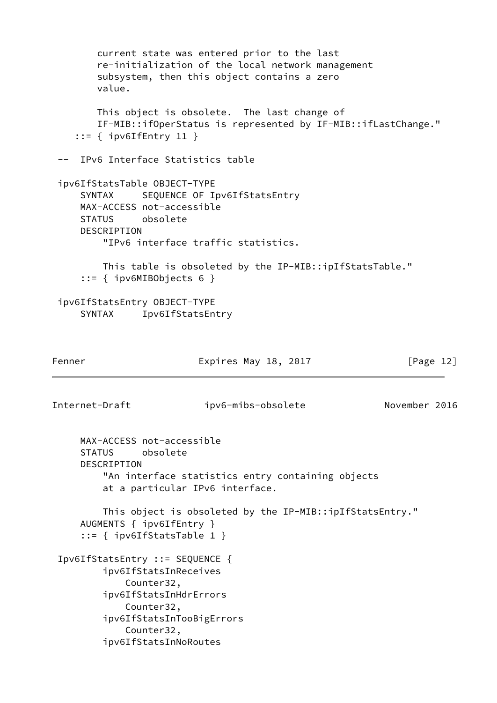current state was entered prior to the last re-initialization of the local network management subsystem, then this object contains a zero value. This object is obsolete. The last change of IF-MIB::ifOperStatus is represented by IF-MIB::ifLastChange." ::= { ipv6IfEntry 11 } -- IPv6 Interface Statistics table ipv6IfStatsTable OBJECT-TYPE SYNTAX SEQUENCE OF Ipv6IfStatsEntry MAX-ACCESS not-accessible STATUS obsolete DESCRIPTION "IPv6 interface traffic statistics. This table is obsoleted by the IP-MIB::ipIfStatsTable." ::= { ipv6MIBObjects 6 } ipv6IfStatsEntry OBJECT-TYPE SYNTAX Ipv6IfStatsEntry Fenner Expires May 18, 2017 [Page 12] Internet-Draft ipv6-mibs-obsolete November 2016 MAX-ACCESS not-accessible STATUS obsolete DESCRIPTION "An interface statistics entry containing objects at a particular IPv6 interface. This object is obsoleted by the IP-MIB::ipIfStatsEntry." AUGMENTS { ipv6IfEntry } ::= { ipv6IfStatsTable 1 } Ipv6IfStatsEntry ::= SEQUENCE { ipv6IfStatsInReceives Counter32, ipv6IfStatsInHdrErrors Counter32, ipv6IfStatsInTooBigErrors Counter32, ipv6IfStatsInNoRoutes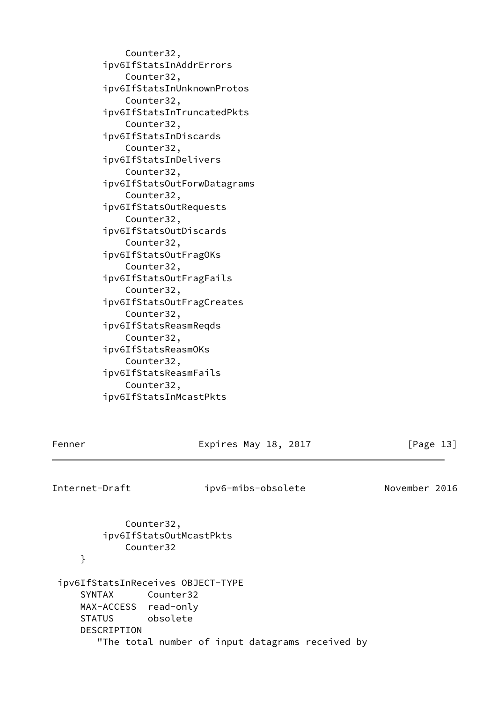Counter32, ipv6IfStatsInAddrErrors Counter32, ipv6IfStatsInUnknownProtos Counter32, ipv6IfStatsInTruncatedPkts Counter32, ipv6IfStatsInDiscards Counter32, ipv6IfStatsInDelivers Counter32, ipv6IfStatsOutForwDatagrams Counter32, ipv6IfStatsOutRequests Counter32, ipv6IfStatsOutDiscards Counter32, ipv6IfStatsOutFragOKs Counter32, ipv6IfStatsOutFragFails Counter32, ipv6IfStatsOutFragCreates Counter32, ipv6IfStatsReasmReqds Counter32, ipv6IfStatsReasmOKs Counter32, ipv6IfStatsReasmFails Counter32, ipv6IfStatsInMcastPkts

Fenner Expires May 18, 2017 [Page 13]

Internet-Draft ipv6-mibs-obsolete November 2016

 Counter32, ipv6IfStatsOutMcastPkts Counter32 } ipv6IfStatsInReceives OBJECT-TYPE SYNTAX Counter32 MAX-ACCESS read-only STATUS obsolete DESCRIPTION "The total number of input datagrams received by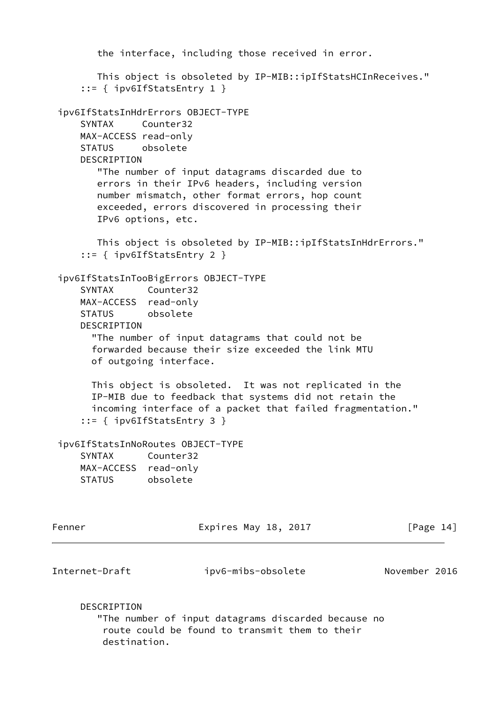the interface, including those received in error. This object is obsoleted by IP-MIB::ipIfStatsHCInReceives." ::= { ipv6IfStatsEntry 1 } ipv6IfStatsInHdrErrors OBJECT-TYPE SYNTAX Counter32 MAX-ACCESS read-only STATUS obsolete **DESCRIPTION**  "The number of input datagrams discarded due to errors in their IPv6 headers, including version number mismatch, other format errors, hop count exceeded, errors discovered in processing their IPv6 options, etc. This object is obsoleted by IP-MIB::ipIfStatsInHdrErrors." ::= { ipv6IfStatsEntry 2 } ipv6IfStatsInTooBigErrors OBJECT-TYPE SYNTAX Counter32 MAX-ACCESS read-only STATUS obsolete DESCRIPTION "The number of input datagrams that could not be forwarded because their size exceeded the link MTU of outgoing interface. This object is obsoleted. It was not replicated in the IP-MIB due to feedback that systems did not retain the incoming interface of a packet that failed fragmentation." ::= { ipv6IfStatsEntry 3 } ipv6IfStatsInNoRoutes OBJECT-TYPE SYNTAX Counter32 MAX-ACCESS read-only STATUS obsolete Fenner Expires May 18, 2017 [Page 14] Internet-Draft ipv6-mibs-obsolete November 2016

DESCRIPTION

 "The number of input datagrams discarded because no route could be found to transmit them to their destination.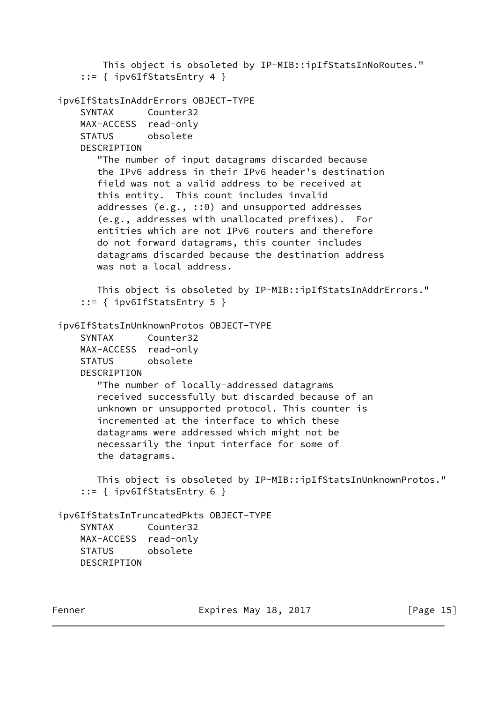```
 This object is obsoleted by IP-MIB::ipIfStatsInNoRoutes."
     ::= { ipv6IfStatsEntry 4 }
 ipv6IfStatsInAddrErrors OBJECT-TYPE
     SYNTAX Counter32
    MAX-ACCESS read-only
    STATUS obsolete
     DESCRIPTION
        "The number of input datagrams discarded because
        the IPv6 address in their IPv6 header's destination
        field was not a valid address to be received at
        this entity. This count includes invalid
        addresses (e.g., ::0) and unsupported addresses
        (e.g., addresses with unallocated prefixes). For
        entities which are not IPv6 routers and therefore
        do not forward datagrams, this counter includes
        datagrams discarded because the destination address
       was not a local address.
        This object is obsoleted by IP-MIB::ipIfStatsInAddrErrors."
     ::= { ipv6IfStatsEntry 5 }
 ipv6IfStatsInUnknownProtos OBJECT-TYPE
     SYNTAX Counter32
    MAX-ACCESS read-only
     STATUS obsolete
    DESCRIPTION
        "The number of locally-addressed datagrams
        received successfully but discarded because of an
        unknown or unsupported protocol. This counter is
        incremented at the interface to which these
        datagrams were addressed which might not be
        necessarily the input interface for some of
        the datagrams.
        This object is obsoleted by IP-MIB::ipIfStatsInUnknownProtos."
     ::= { ipv6IfStatsEntry 6 }
 ipv6IfStatsInTruncatedPkts OBJECT-TYPE
     SYNTAX Counter32
    MAX-ACCESS read-only
    STATUS obsolete
    DESCRIPTION
```
Fenner Expires May 18, 2017 [Page 15]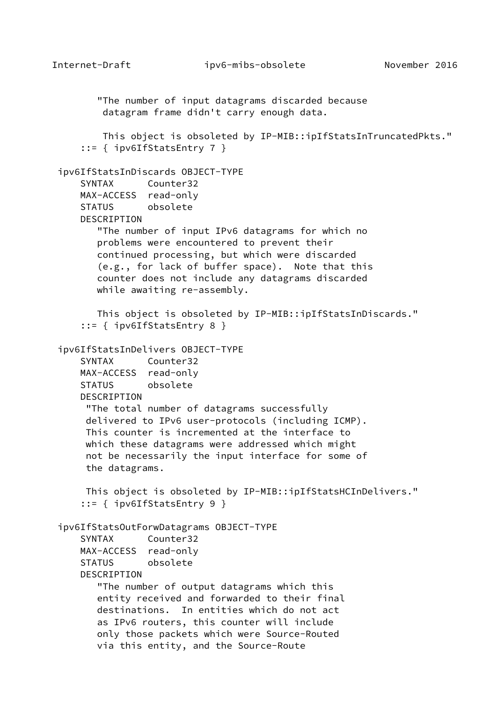"The number of input datagrams discarded because datagram frame didn't carry enough data. This object is obsoleted by IP-MIB::ipIfStatsInTruncatedPkts." ::= { ipv6IfStatsEntry 7 } ipv6IfStatsInDiscards OBJECT-TYPE SYNTAX Counter32 MAX-ACCESS read-only STATUS obsolete DESCRIPTION "The number of input IPv6 datagrams for which no problems were encountered to prevent their continued processing, but which were discarded (e.g., for lack of buffer space). Note that this counter does not include any datagrams discarded while awaiting re-assembly. This object is obsoleted by IP-MIB::ipIfStatsInDiscards." ::= { ipv6IfStatsEntry 8 } ipv6IfStatsInDelivers OBJECT-TYPE SYNTAX Counter32 MAX-ACCESS read-only STATUS obsolete **DESCRIPTION**  "The total number of datagrams successfully delivered to IPv6 user-protocols (including ICMP). This counter is incremented at the interface to which these datagrams were addressed which might not be necessarily the input interface for some of the datagrams. This object is obsoleted by IP-MIB::ipIfStatsHCInDelivers." ::= { ipv6IfStatsEntry 9 } ipv6IfStatsOutForwDatagrams OBJECT-TYPE SYNTAX Counter32 MAX-ACCESS read-only STATUS obsolete **DESCRIPTION**  "The number of output datagrams which this entity received and forwarded to their final destinations. In entities which do not act as IPv6 routers, this counter will include only those packets which were Source-Routed via this entity, and the Source-Route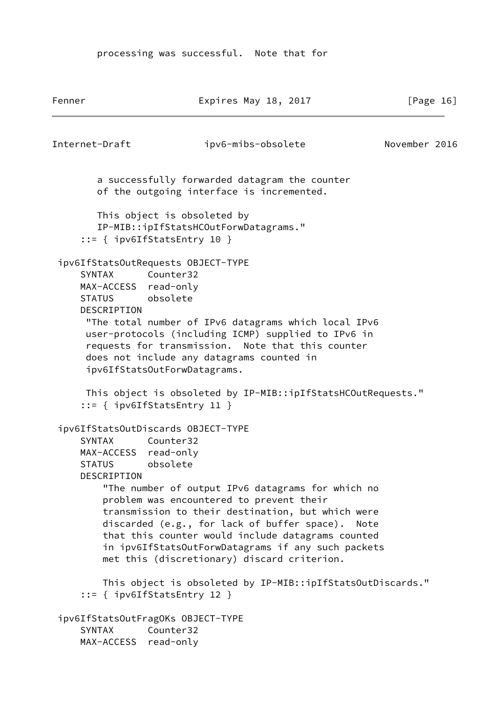processing was successful. Note that for

Fenner Expires May 18, 2017 [Page 16] Internet-Draft ipv6-mibs-obsolete November 2016 a successfully forwarded datagram the counter of the outgoing interface is incremented. This object is obsoleted by IP-MIB::ipIfStatsHCOutForwDatagrams." ::= { ipv6IfStatsEntry 10 } ipv6IfStatsOutRequests OBJECT-TYPE SYNTAX Counter32 MAX-ACCESS read-only STATUS obsolete DESCRIPTION "The total number of IPv6 datagrams which local IPv6 user-protocols (including ICMP) supplied to IPv6 in requests for transmission. Note that this counter does not include any datagrams counted in ipv6IfStatsOutForwDatagrams. This object is obsoleted by IP-MIB::ipIfStatsHCOutRequests." ::= { ipv6IfStatsEntry 11 } ipv6IfStatsOutDiscards OBJECT-TYPE SYNTAX Counter32 MAX-ACCESS read-only STATUS obsolete DESCRIPTION "The number of output IPv6 datagrams for which no problem was encountered to prevent their transmission to their destination, but which were discarded (e.g., for lack of buffer space). Note that this counter would include datagrams counted in ipv6IfStatsOutForwDatagrams if any such packets met this (discretionary) discard criterion. This object is obsoleted by IP-MIB::ipIfStatsOutDiscards." ::= { ipv6IfStatsEntry 12 } ipv6IfStatsOutFragOKs OBJECT-TYPE SYNTAX Counter32 MAX-ACCESS read-only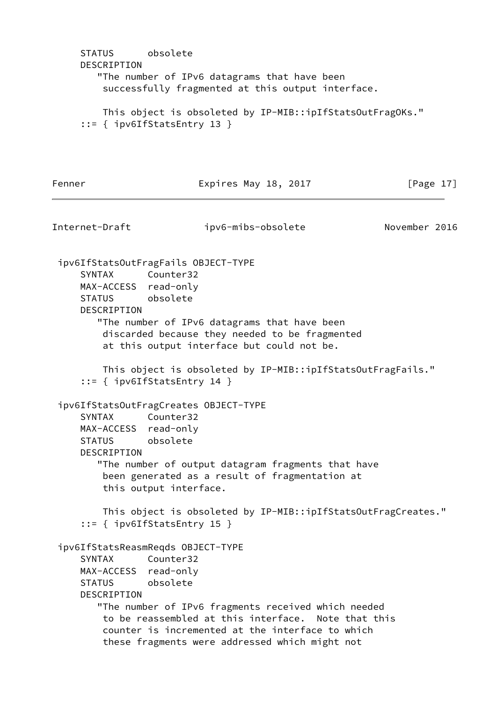```
 STATUS obsolete
     DESCRIPTION
        "The number of IPv6 datagrams that have been
         successfully fragmented at this output interface.
         This object is obsoleted by IP-MIB::ipIfStatsOutFragOKs."
     ::= { ipv6IfStatsEntry 13 }
Fenner Expires May 18, 2017 [Page 17]
Internet-Draft ipv6-mibs-obsolete November 2016
 ipv6IfStatsOutFragFails OBJECT-TYPE
     SYNTAX Counter32
     MAX-ACCESS read-only
     STATUS obsolete
     DESCRIPTION
        "The number of IPv6 datagrams that have been
         discarded because they needed to be fragmented
         at this output interface but could not be.
         This object is obsoleted by IP-MIB::ipIfStatsOutFragFails."
     ::= { ipv6IfStatsEntry 14 }
 ipv6IfStatsOutFragCreates OBJECT-TYPE
     SYNTAX Counter32
     MAX-ACCESS read-only
     STATUS obsolete
     DESCRIPTION
        "The number of output datagram fragments that have
         been generated as a result of fragmentation at
         this output interface.
         This object is obsoleted by IP-MIB::ipIfStatsOutFragCreates."
     ::= { ipv6IfStatsEntry 15 }
 ipv6IfStatsReasmReqds OBJECT-TYPE
     SYNTAX Counter32
     MAX-ACCESS read-only
     STATUS obsolete
     DESCRIPTION
        "The number of IPv6 fragments received which needed
         to be reassembled at this interface. Note that this
         counter is incremented at the interface to which
         these fragments were addressed which might not
```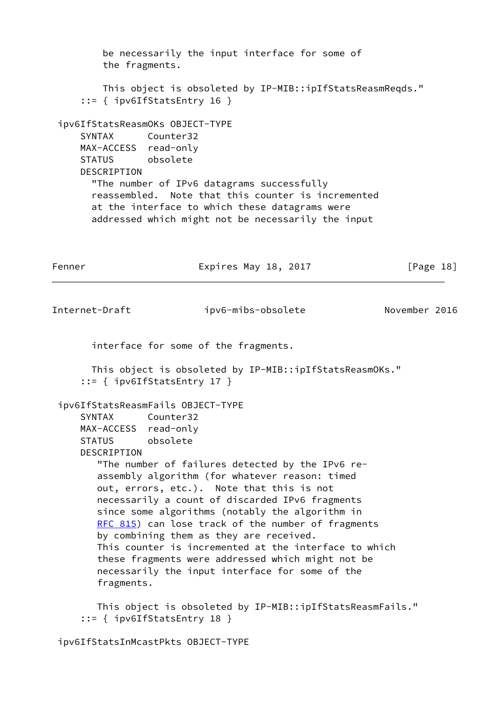be necessarily the input interface for some of the fragments. This object is obsoleted by IP-MIB::ipIfStatsReasmReqds." ::= { ipv6IfStatsEntry 16 } ipv6IfStatsReasmOKs OBJECT-TYPE SYNTAX Counter32 MAX-ACCESS read-only STATUS obsolete **DESCRIPTION**  "The number of IPv6 datagrams successfully reassembled. Note that this counter is incremented at the interface to which these datagrams were addressed which might not be necessarily the input Fenner Expires May 18, 2017 [Page 18] Internet-Draft ipv6-mibs-obsolete November 2016 interface for some of the fragments. This object is obsoleted by IP-MIB::ipIfStatsReasmOKs." ::= { ipv6IfStatsEntry 17 } ipv6IfStatsReasmFails OBJECT-TYPE SYNTAX Counter32 MAX-ACCESS read-only STATUS obsolete DESCRIPTION "The number of failures detected by the IPv6 re assembly algorithm (for whatever reason: timed out, errors, etc.). Note that this is not necessarily a count of discarded IPv6 fragments since some algorithms (notably the algorithm in [RFC 815](https://datatracker.ietf.org/doc/pdf/rfc815)) can lose track of the number of fragments by combining them as they are received. This counter is incremented at the interface to which these fragments were addressed which might not be necessarily the input interface for some of the fragments. This object is obsoleted by IP-MIB::ipIfStatsReasmFails." ::= { ipv6IfStatsEntry 18 } ipv6IfStatsInMcastPkts OBJECT-TYPE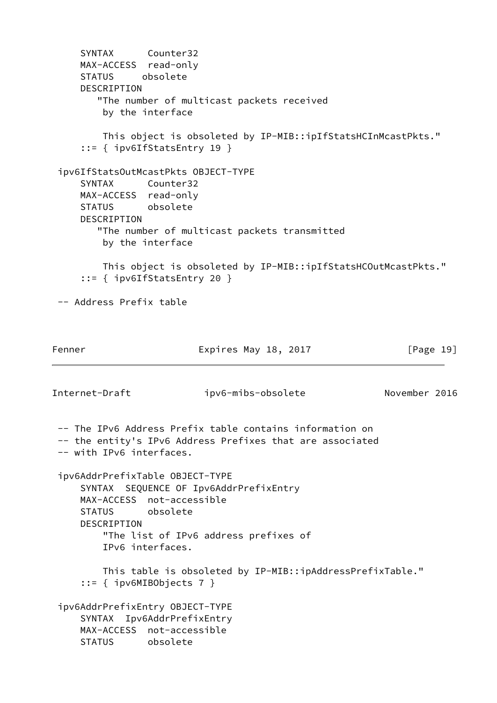SYNTAX Counter32 MAX-ACCESS read-only STATUS obsolete DESCRIPTION "The number of multicast packets received by the interface This object is obsoleted by IP-MIB::ipIfStatsHCInMcastPkts." ::= { ipv6IfStatsEntry 19 } ipv6IfStatsOutMcastPkts OBJECT-TYPE SYNTAX Counter32 MAX-ACCESS read-only STATUS obsolete DESCRIPTION "The number of multicast packets transmitted by the interface This object is obsoleted by IP-MIB::ipIfStatsHCOutMcastPkts." ::= { ipv6IfStatsEntry 20 } -- Address Prefix table Fenner Expires May 18, 2017 [Page 19] Internet-Draft ipv6-mibs-obsolete November 2016 -- The IPv6 Address Prefix table contains information on -- the entity's IPv6 Address Prefixes that are associated -- with IPv6 interfaces. ipv6AddrPrefixTable OBJECT-TYPE SYNTAX SEQUENCE OF Ipv6AddrPrefixEntry MAX-ACCESS not-accessible STATUS obsolete DESCRIPTION "The list of IPv6 address prefixes of IPv6 interfaces. This table is obsoleted by IP-MIB::ipAddressPrefixTable." ::= { ipv6MIBObjects 7 } ipv6AddrPrefixEntry OBJECT-TYPE SYNTAX Ipv6AddrPrefixEntry MAX-ACCESS not-accessible STATUS obsolete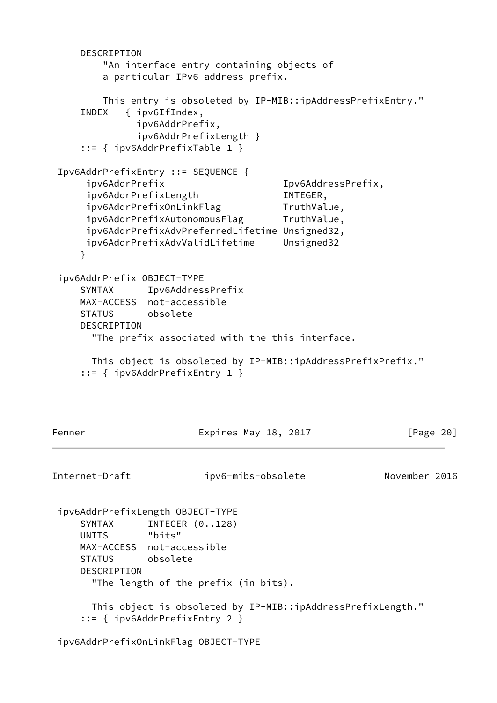```
 DESCRIPTION
         "An interface entry containing objects of
         a particular IPv6 address prefix.
         This entry is obsoleted by IP-MIB::ipAddressPrefixEntry."
     INDEX { ipv6IfIndex,
              ipv6AddrPrefix,
              ipv6AddrPrefixLength }
     ::= { ipv6AddrPrefixTable 1 }
 Ipv6AddrPrefixEntry ::= SEQUENCE {
      ipv6AddrPrefix Ipv6AddressPrefix,
      ipv6AddrPrefixLength INTEGER,
     ipv6AddrPrefixOnLinkFlag TruthValue,
     ipv6AddrPrefixAutonomousFlag TruthValue,
      ipv6AddrPrefixAdvPreferredLifetime Unsigned32,
      ipv6AddrPrefixAdvValidLifetime Unsigned32
     }
 ipv6AddrPrefix OBJECT-TYPE
     SYNTAX Ipv6AddressPrefix
     MAX-ACCESS not-accessible
     STATUS obsolete
     DESCRIPTION
       "The prefix associated with the this interface.
      This object is obsoleted by IP-MIB::ipAddressPrefixPrefix."
     ::= { ipv6AddrPrefixEntry 1 }
Fenner Expires May 18, 2017 [Page 20]
Internet-Draft ipv6-mibs-obsolete November 2016
 ipv6AddrPrefixLength OBJECT-TYPE
    SYNTAX INTEGER (0..128)
     UNITS "bits"
     MAX-ACCESS not-accessible
     STATUS obsolete
     DESCRIPTION
       "The length of the prefix (in bits).
       This object is obsoleted by IP-MIB::ipAddressPrefixLength."
     ::= { ipv6AddrPrefixEntry 2 }
 ipv6AddrPrefixOnLinkFlag OBJECT-TYPE
```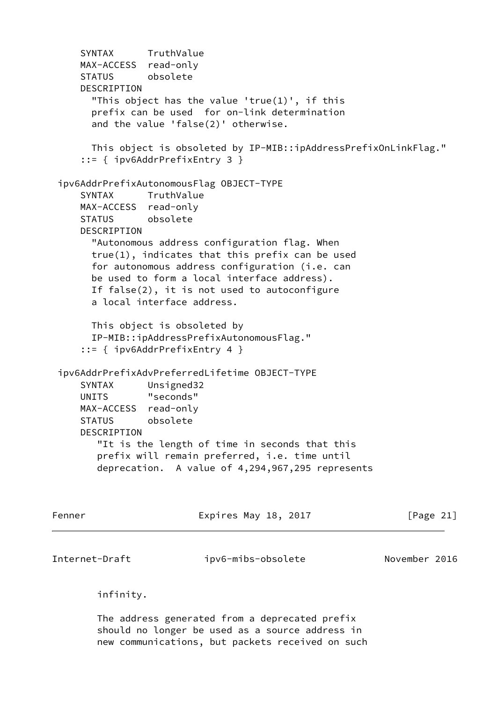```
 SYNTAX TruthValue
     MAX-ACCESS read-only
     STATUS obsolete
     DESCRIPTION
       "This object has the value 'true(1)', if this
       prefix can be used for on-link determination
       and the value 'false(2)' otherwise.
       This object is obsoleted by IP-MIB::ipAddressPrefixOnLinkFlag."
      ::= { ipv6AddrPrefixEntry 3 }
  ipv6AddrPrefixAutonomousFlag OBJECT-TYPE
     SYNTAX TruthValue
     MAX-ACCESS read-only
     STATUS obsolete
     DESCRIPTION
       "Autonomous address configuration flag. When
       true(1), indicates that this prefix can be used
       for autonomous address configuration (i.e. can
       be used to form a local interface address).
       If false(2), it is not used to autoconfigure
       a local interface address.
       This object is obsoleted by
       IP-MIB::ipAddressPrefixAutonomousFlag."
      ::= { ipv6AddrPrefixEntry 4 }
  ipv6AddrPrefixAdvPreferredLifetime OBJECT-TYPE
     SYNTAX Unsigned32
     UNITS "seconds"
     MAX-ACCESS read-only
     STATUS obsolete
     DESCRIPTION
        "It is the length of time in seconds that this
        prefix will remain preferred, i.e. time until
        deprecation. A value of 4,294,967,295 represents
Fenner Expires May 18, 2017 [Page 21]
Internet-Draft ipv6-mibs-obsolete November 2016
        infinity.
```
 The address generated from a deprecated prefix should no longer be used as a source address in new communications, but packets received on such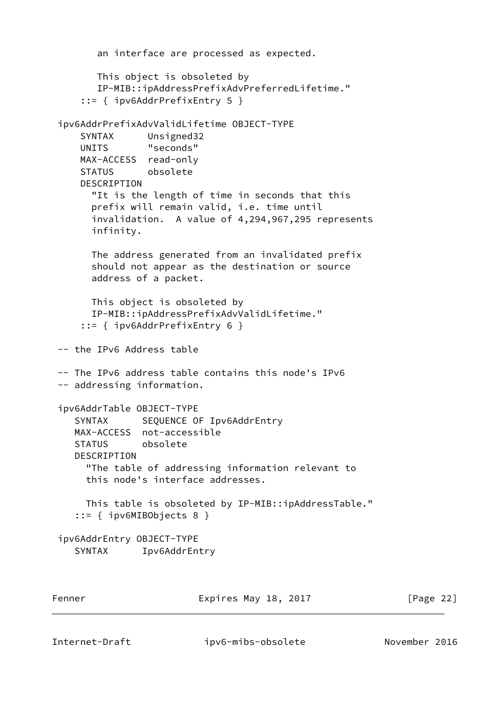```
 an interface are processed as expected.
        This object is obsoleted by
        IP-MIB::ipAddressPrefixAdvPreferredLifetime."
      ::= { ipv6AddrPrefixEntry 5 }
 ipv6AddrPrefixAdvValidLifetime OBJECT-TYPE
 SYNTAX Unsigned32
 UNITS "seconds"
     MAX-ACCESS read-only
     STATUS obsolete
     DESCRIPTION
       "It is the length of time in seconds that this
       prefix will remain valid, i.e. time until
       invalidation. A value of 4,294,967,295 represents
       infinity.
       The address generated from an invalidated prefix
       should not appear as the destination or source
       address of a packet.
       This object is obsoleted by
       IP-MIB::ipAddressPrefixAdvValidLifetime."
      ::= { ipv6AddrPrefixEntry 6 }
 -- the IPv6 Address table
 -- The IPv6 address table contains this node's IPv6
 -- addressing information.
 ipv6AddrTable OBJECT-TYPE
   SYNTAX SEQUENCE OF Ipv6AddrEntry
    MAX-ACCESS not-accessible
    STATUS obsolete
    DESCRIPTION
      "The table of addressing information relevant to
      this node's interface addresses.
      This table is obsoleted by IP-MIB::ipAddressTable."
    ::= { ipv6MIBObjects 8 }
 ipv6AddrEntry OBJECT-TYPE
    SYNTAX Ipv6AddrEntry
Fenner Expires May 18, 2017 [Page 22]
```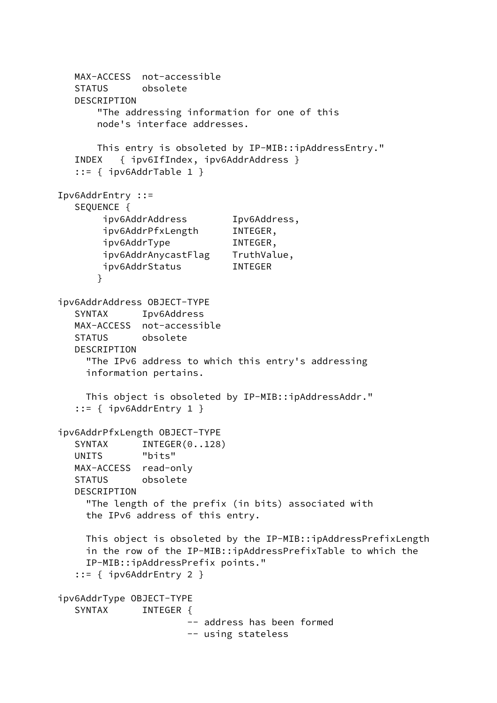```
 MAX-ACCESS not-accessible
   STATUS obsolete
   DESCRIPTION
       "The addressing information for one of this
       node's interface addresses.
       This entry is obsoleted by IP-MIB::ipAddressEntry."
   INDEX { ipv6IfIndex, ipv6AddrAddress }
    ::= { ipv6AddrTable 1 }
 Ipv6AddrEntry ::=
   SEQUENCE {
        ipv6AddrAddress Ipv6Address,
        ipv6AddrPfxLength INTEGER,
        ipv6AddrType INTEGER,
        ipv6AddrAnycastFlag TruthValue,
        ipv6AddrStatus INTEGER
       }
 ipv6AddrAddress OBJECT-TYPE
   SYNTAX Ipv6Address
   MAX-ACCESS not-accessible
   STATUS obsolete
   DESCRIPTION
     "The IPv6 address to which this entry's addressing
     information pertains.
     This object is obsoleted by IP-MIB::ipAddressAddr."
   ::= \{ ipv6AddrEntry 1 \} ipv6AddrPfxLength OBJECT-TYPE
  SYNTAX INTEGER(0..128)
   UNITS "bits"
   MAX-ACCESS read-only
   STATUS obsolete
   DESCRIPTION
     "The length of the prefix (in bits) associated with
     the IPv6 address of this entry.
     This object is obsoleted by the IP-MIB::ipAddressPrefixLength
     in the row of the IP-MIB::ipAddressPrefixTable to which the
     IP-MIB::ipAddressPrefix points."
    ::= { ipv6AddrEntry 2 }
 ipv6AddrType OBJECT-TYPE
  SYNTAX INTEGER {
                       -- address has been formed
                       -- using stateless
```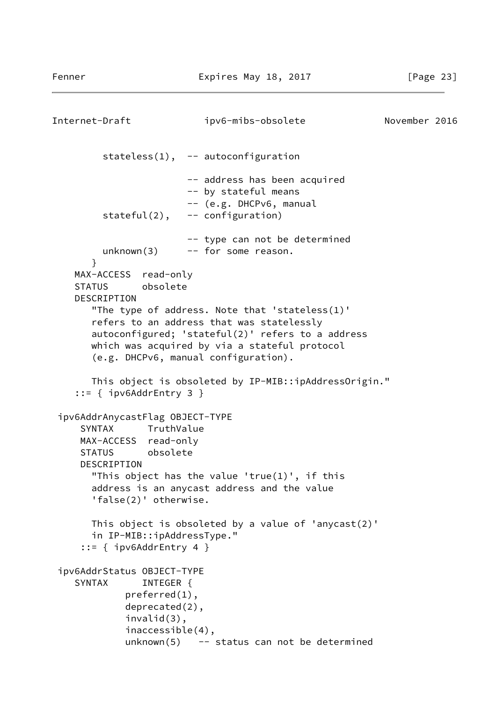```
Internet-Draft ipv6-mibs-obsolete November 2016
         stateless(1), -- autoconfiguration
                        -- address has been acquired
                        -- by stateful means
                        -- (e.g. DHCPv6, manual
         stateful(2), -- configuration)
                        -- type can not be determined
        unknown(3) -- for some reason.
       }
    MAX-ACCESS read-only
     STATUS obsolete
     DESCRIPTION
        "The type of address. Note that 'stateless(1)'
       refers to an address that was statelessly
       autoconfigured; 'stateful(2)' refers to a address
       which was acquired by via a stateful protocol
        (e.g. DHCPv6, manual configuration).
       This object is obsoleted by IP-MIB::ipAddressOrigin."
     ::= { ipv6AddrEntry 3 }
  ipv6AddrAnycastFlag OBJECT-TYPE
      SYNTAX TruthValue
     MAX-ACCESS read-only
     STATUS obsolete
     DESCRIPTION
        "This object has the value 'true(1)', if this
       address is an anycast address and the value
        'false(2)' otherwise.
       This object is obsoleted by a value of 'anycast(2)'
       in IP-MIB::ipAddressType."
      ::= { ipv6AddrEntry 4 }
  ipv6AddrStatus OBJECT-TYPE
    SYNTAX INTEGER {
             preferred(1),
             deprecated(2),
             invalid(3),
              inaccessible(4),
            unknown(5) - status can not be determined
```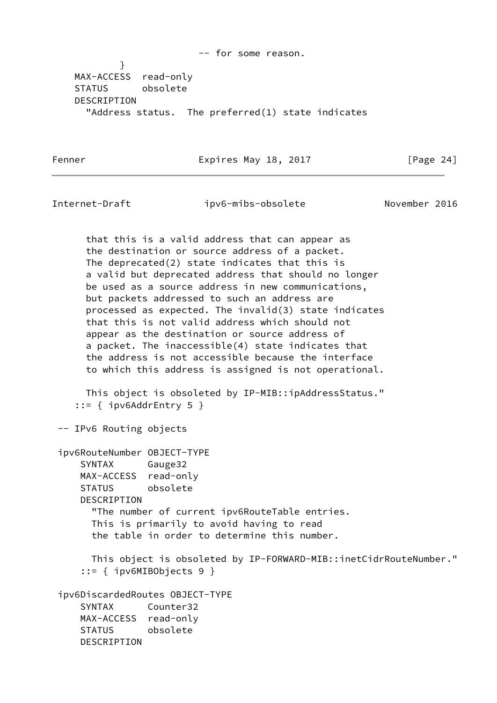-- for some reason. } MAX-ACCESS read-only STATUS obsolete DESCRIPTION "Address status. The preferred(1) state indicates

Fenner Expires May 18, 2017 [Page 24]

Internet-Draft ipv6-mibs-obsolete November 2016

 that this is a valid address that can appear as the destination or source address of a packet. The deprecated(2) state indicates that this is a valid but deprecated address that should no longer be used as a source address in new communications, but packets addressed to such an address are processed as expected. The invalid(3) state indicates that this is not valid address which should not appear as the destination or source address of a packet. The inaccessible(4) state indicates that the address is not accessible because the interface to which this address is assigned is not operational.

 This object is obsoleted by IP-MIB::ipAddressStatus." ::= { ipv6AddrEntry 5 }

-- IPv6 Routing objects

 ipv6RouteNumber OBJECT-TYPE SYNTAX Gauge32 MAX-ACCESS read-only STATUS obsolete DESCRIPTION "The number of current ipv6RouteTable entries. This is primarily to avoid having to read the table in order to determine this number.

 This object is obsoleted by IP-FORWARD-MIB::inetCidrRouteNumber." ::= { ipv6MIBObjects 9 }

 ipv6DiscardedRoutes OBJECT-TYPE SYNTAX Counter32 MAX-ACCESS read-only STATUS obsolete DESCRIPTION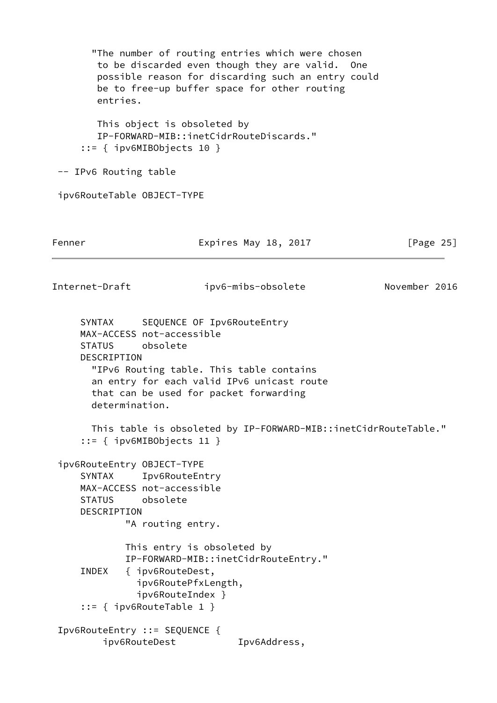"The number of routing entries which were chosen to be discarded even though they are valid. One possible reason for discarding such an entry could be to free-up buffer space for other routing entries. This object is obsoleted by IP-FORWARD-MIB::inetCidrRouteDiscards." ::= { ipv6MIBObjects 10 } -- IPv6 Routing table ipv6RouteTable OBJECT-TYPE Fenner Expires May 18, 2017 [Page 25] Internet-Draft ipv6-mibs-obsolete November 2016 SYNTAX SEQUENCE OF Ipv6RouteEntry MAX-ACCESS not-accessible STATUS obsolete DESCRIPTION "IPv6 Routing table. This table contains an entry for each valid IPv6 unicast route that can be used for packet forwarding determination. This table is obsoleted by IP-FORWARD-MIB::inetCidrRouteTable." ::= { ipv6MIBObjects 11 } ipv6RouteEntry OBJECT-TYPE SYNTAX Ipv6RouteEntry MAX-ACCESS not-accessible STATUS obsolete DESCRIPTION "A routing entry. This entry is obsoleted by IP-FORWARD-MIB::inetCidrRouteEntry." INDEX { ipv6RouteDest, ipv6RoutePfxLength, ipv6RouteIndex } ::= { ipv6RouteTable 1 } Ipv6RouteEntry ::= SEQUENCE { ipv6RouteDest Ipv6Address,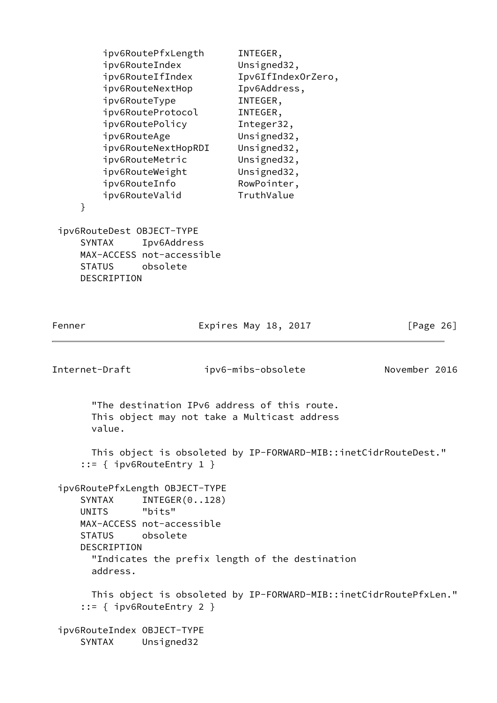| ipv6RoutePfxLength  | INTEGER,           |
|---------------------|--------------------|
| ipv6RouteIndex      | Unsigned32,        |
| ipv6RouteIfIndex    | Ipv6IfIndexOrZero, |
| ipv6RouteNextHop    | Ipv6Address,       |
| ipv6RouteType       | INTEGER,           |
| ipv6RouteProtocol   | INTEGER,           |
| ipv6RoutePolicy     | Integer32,         |
| ipv6RouteAge        | Unsigned32,        |
| ipv6RouteNextHopRDI | Unsigned32,        |
| ipv6RouteMetric     | Unsigned32,        |
| ipv6RouteWeight     | Unsigned32,        |
| ipv6RouteInfo       | RowPointer,        |
| ipv6RouteValid      | TruthValue         |
|                     |                    |

 ipv6RouteDest OBJECT-TYPE SYNTAX Ipv6Address MAX-ACCESS not-accessible STATUS obsolete DESCRIPTION

}

| Internet-Draft                                             | ipv6-mibs-obsolete                                                                                                                     | November 2016 |
|------------------------------------------------------------|----------------------------------------------------------------------------------------------------------------------------------------|---------------|
| value.                                                     | "The destination IPv6 address of this route.<br>This object may not take a Multicast address                                           |               |
|                                                            | This object is obsoleted by IP-FORWARD-MIB::inetCidrRouteDest."<br>$::=$ { ipv6RouteEntry 1 }                                          |               |
| UNITS "bits"<br>STATUS obsolete<br>DESCRIPTION<br>address. | ipv6RoutePfxLength OBJECT-TYPE<br>SYNTAX INTEGER(0128)<br>MAX-ACCESS not-accessible<br>"Indicates the prefix length of the destination |               |
|                                                            | This object is obsoleted by IP-FORWARD-MIB::inetCidrRoutePfxLen."<br>$::=$ { ipv6RouteEntry 2 }                                        |               |
| ipv6RouteIndex 0BJECT-TYPE<br><b>SYNTAX</b>                | Unsigned32                                                                                                                             |               |

Fenner **Expires May 18, 2017** [Page 26]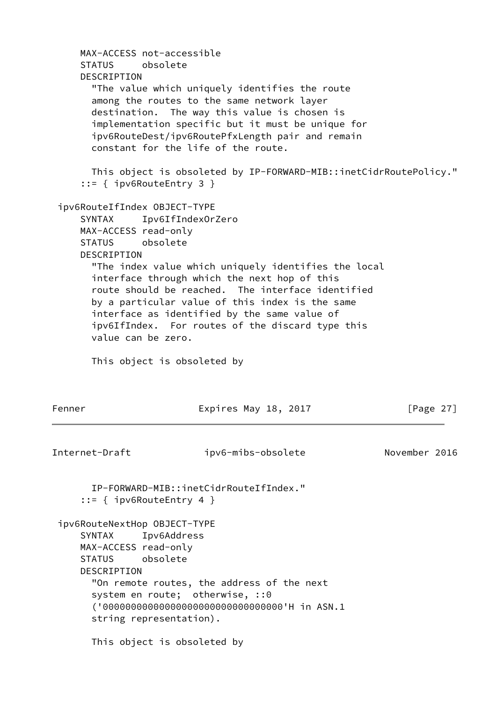```
 MAX-ACCESS not-accessible
     STATUS obsolete
     DESCRIPTION
       "The value which uniquely identifies the route
       among the routes to the same network layer
       destination. The way this value is chosen is
       implementation specific but it must be unique for
       ipv6RouteDest/ipv6RoutePfxLength pair and remain
       constant for the life of the route.
       This object is obsoleted by IP-FORWARD-MIB::inetCidrRoutePolicy."
      ::= { ipv6RouteEntry 3 }
 ipv6RouteIfIndex OBJECT-TYPE
     SYNTAX Ipv6IfIndexOrZero
     MAX-ACCESS read-only
     STATUS obsolete
     DESCRIPTION
       "The index value which uniquely identifies the local
       interface through which the next hop of this
       route should be reached. The interface identified
       by a particular value of this index is the same
       interface as identified by the same value of
       ipv6IfIndex. For routes of the discard type this
       value can be zero.
       This object is obsoleted by
Fenner Expires May 18, 2017 [Page 27]
Internet-Draft ipv6-mibs-obsolete November 2016
       IP-FORWARD-MIB::inetCidrRouteIfIndex."
      ::= { ipv6RouteEntry 4 }
 ipv6RouteNextHop OBJECT-TYPE
     SYNTAX Ipv6Address
     MAX-ACCESS read-only
     STATUS obsolete
     DESCRIPTION
       "On remote routes, the address of the next
      system en route; otherwise, :: 0
       ('00000000000000000000000000000000'H in ASN.1
       string representation).
       This object is obsoleted by
```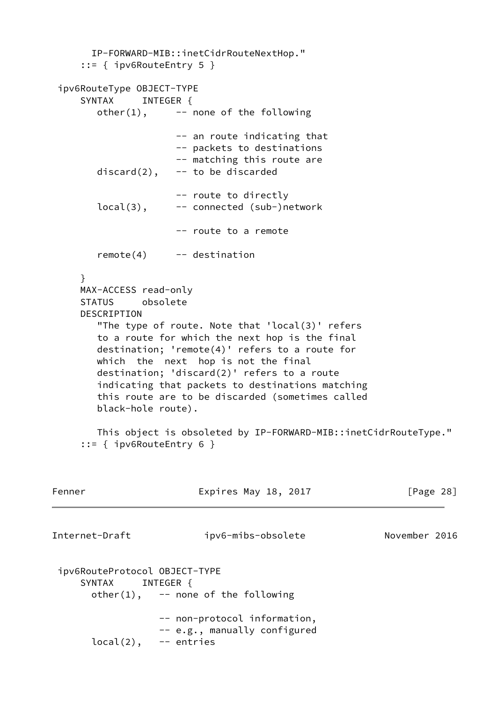IP-FORWARD-MIB::inetCidrRouteNextHop." ::= { ipv6RouteEntry 5 } ipv6RouteType OBJECT-TYPE SYNTAX INTEGER {  $other(1)$ ,  $---$  none of the following -- an route indicating that -- packets to destinations -- matching this route are  $discard(2)$ ,  $-$  to be discarded -- route to directly local(3), -- connected (sub-)network -- route to a remote remote(4) -- destination } MAX-ACCESS read-only STATUS obsolete DESCRIPTION "The type of route. Note that 'local(3)' refers to a route for which the next hop is the final destination; 'remote(4)' refers to a route for which the next hop is not the final destination; 'discard(2)' refers to a route indicating that packets to destinations matching this route are to be discarded (sometimes called black-hole route). This object is obsoleted by IP-FORWARD-MIB::inetCidrRouteType." ::= { ipv6RouteEntry 6 } Fenner Expires May 18, 2017 [Page 28] Internet-Draft ipv6-mibs-obsolete November 2016 ipv6RouteProtocol OBJECT-TYPE SYNTAX INTEGER {  $other(1)$ ,  $--$  none of the following -- non-protocol information, -- e.g., manually configured  $local(2)$ ,  $-$  entries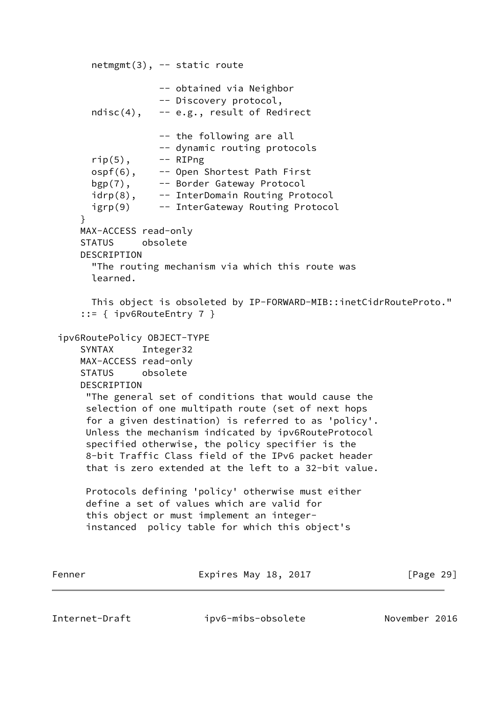```
 netmgmt(3), -- static route
                   -- obtained via Neighbor
                   -- Discovery protocol,
       ndisc(4), -- e.g., result of Redirect
                   -- the following are all
                   -- dynamic routing protocols
      rip(5), -- RIPng
       ospf(6), -- Open Shortest Path First
      bgp(7), -- Border Gateway Protocol
      idrp(8), -- InterDomain Routing Protocol
       igrp(9) -- InterGateway Routing Protocol
     }
     MAX-ACCESS read-only
     STATUS obsolete
     DESCRIPTION
       "The routing mechanism via which this route was
       learned.
       This object is obsoleted by IP-FORWARD-MIB::inetCidrRouteProto."
      ::= { ipv6RouteEntry 7 }
 ipv6RoutePolicy OBJECT-TYPE
     SYNTAX Integer32
     MAX-ACCESS read-only
     STATUS obsolete
     DESCRIPTION
      "The general set of conditions that would cause the
      selection of one multipath route (set of next hops
      for a given destination) is referred to as 'policy'.
      Unless the mechanism indicated by ipv6RouteProtocol
      specified otherwise, the policy specifier is the
      8-bit Traffic Class field of the IPv6 packet header
      that is zero extended at the left to a 32-bit value.
      Protocols defining 'policy' otherwise must either
      define a set of values which are valid for
      this object or must implement an integer-
      instanced policy table for which this object's
Fenner Expires May 18, 2017 [Page 29]
```
Internet-Draft ipv6-mibs-obsolete November 2016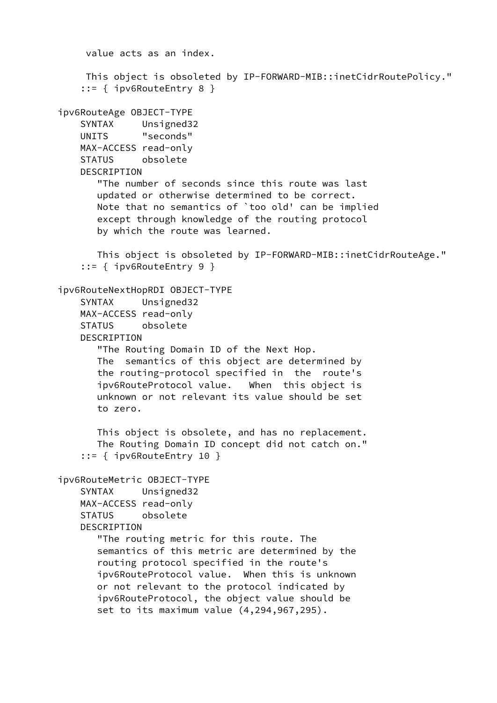```
 value acts as an index.
     This object is obsoleted by IP-FORWARD-MIB::inetCidrRoutePolicy."
     ::= { ipv6RouteEntry 8 }
 ipv6RouteAge OBJECT-TYPE
     SYNTAX Unsigned32
    UNITS "seconds"
    MAX-ACCESS read-only
    STATUS obsolete
   DESCRIPTION
        "The number of seconds since this route was last
        updated or otherwise determined to be correct.
        Note that no semantics of `too old' can be implied
        except through knowledge of the routing protocol
        by which the route was learned.
       This object is obsoleted by IP-FORWARD-MIB::inetCidrRouteAge."
     ::= { ipv6RouteEntry 9 }
 ipv6RouteNextHopRDI OBJECT-TYPE
     SYNTAX Unsigned32
    MAX-ACCESS read-only
    STATUS obsolete
    DESCRIPTION
        "The Routing Domain ID of the Next Hop.
        The semantics of this object are determined by
        the routing-protocol specified in the route's
        ipv6RouteProtocol value. When this object is
        unknown or not relevant its value should be set
        to zero.
       This object is obsolete, and has no replacement.
        The Routing Domain ID concept did not catch on."
     ::= { ipv6RouteEntry 10 }
 ipv6RouteMetric OBJECT-TYPE
     SYNTAX Unsigned32
    MAX-ACCESS read-only
    STATUS obsolete
    DESCRIPTION
        "The routing metric for this route. The
        semantics of this metric are determined by the
        routing protocol specified in the route's
        ipv6RouteProtocol value. When this is unknown
        or not relevant to the protocol indicated by
        ipv6RouteProtocol, the object value should be
        set to its maximum value (4,294,967,295).
```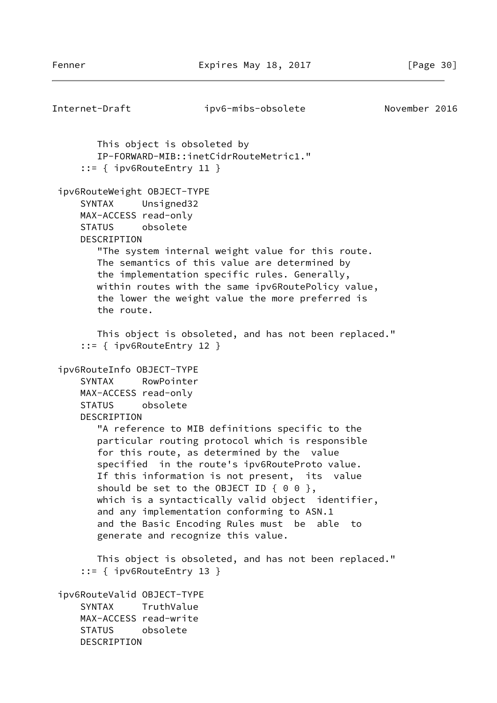```
Internet-Draft ipv6-mibs-obsolete November 2016
        This object is obsoleted by
        IP-FORWARD-MIB::inetCidrRouteMetric1."
      ::= { ipv6RouteEntry 11 }
  ipv6RouteWeight OBJECT-TYPE
      SYNTAX Unsigned32
     MAX-ACCESS read-only
      STATUS obsolete
     DESCRIPTION
         "The system internal weight value for this route.
        The semantics of this value are determined by
        the implementation specific rules. Generally,
        within routes with the same ipv6RoutePolicy value,
         the lower the weight value the more preferred is
         the route.
        This object is obsoleted, and has not been replaced."
      ::= { ipv6RouteEntry 12 }
  ipv6RouteInfo OBJECT-TYPE
      SYNTAX RowPointer
     MAX-ACCESS read-only
      STATUS obsolete
     DESCRIPTION
         "A reference to MIB definitions specific to the
        particular routing protocol which is responsible
         for this route, as determined by the value
         specified in the route's ipv6RouteProto value.
        If this information is not present, its value
        should be set to the OBJECT ID \{ 0 0 \},
       which is a syntactically valid object identifier,
        and any implementation conforming to ASN.1
        and the Basic Encoding Rules must be able to
        generate and recognize this value.
        This object is obsoleted, and has not been replaced."
      ::= { ipv6RouteEntry 13 }
  ipv6RouteValid OBJECT-TYPE
      SYNTAX TruthValue
     MAX-ACCESS read-write
      STATUS obsolete
     DESCRIPTION
```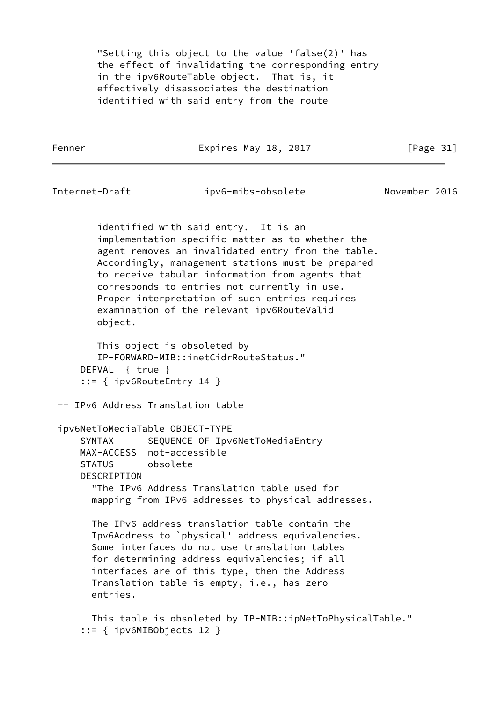"Setting this object to the value 'false(2)' has the effect of invalidating the corresponding entry in the ipv6RouteTable object. That is, it effectively disassociates the destination identified with said entry from the route

Fenner Expires May 18, 2017 [Page 31]

Internet-Draft ipv6-mibs-obsolete November 2016

 identified with said entry. It is an implementation-specific matter as to whether the agent removes an invalidated entry from the table. Accordingly, management stations must be prepared to receive tabular information from agents that corresponds to entries not currently in use. Proper interpretation of such entries requires examination of the relevant ipv6RouteValid object.

 This object is obsoleted by IP-FORWARD-MIB::inetCidrRouteStatus." DEFVAL { true } ::= { ipv6RouteEntry 14 }

-- IPv6 Address Translation table

ipv6NetToMediaTable OBJECT-TYPE

SYNTAX SEQUENCE OF Ipv6NetToMediaEntry MAX-ACCESS not-accessible STATUS obsolete **DESCRIPTION**  "The IPv6 Address Translation table used for mapping from IPv6 addresses to physical addresses.

 The IPv6 address translation table contain the Ipv6Address to `physical' address equivalencies. Some interfaces do not use translation tables for determining address equivalencies; if all interfaces are of this type, then the Address Translation table is empty, i.e., has zero entries.

 This table is obsoleted by IP-MIB::ipNetToPhysicalTable." ::= { ipv6MIBObjects 12 }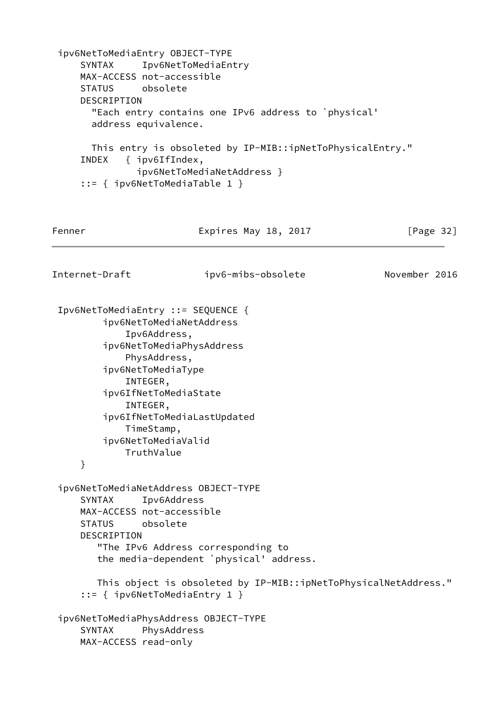```
 ipv6NetToMediaEntry OBJECT-TYPE
      SYNTAX Ipv6NetToMediaEntry
     MAX-ACCESS not-accessible
     STATUS obsolete
     DESCRIPTION
       "Each entry contains one IPv6 address to `physical'
       address equivalence.
       This entry is obsoleted by IP-MIB::ipNetToPhysicalEntry."
     INDEX { ipv6IfIndex,
               ipv6NetToMediaNetAddress }
      ::= { ipv6NetToMediaTable 1 }
Fenner Expires May 18, 2017 [Page 32]
Internet-Draft ipv6-mibs-obsolete November 2016
  Ipv6NetToMediaEntry ::= SEQUENCE {
         ipv6NetToMediaNetAddress
             Ipv6Address,
         ipv6NetToMediaPhysAddress
             PhysAddress,
         ipv6NetToMediaType
             INTEGER,
         ipv6IfNetToMediaState
             INTEGER,
         ipv6IfNetToMediaLastUpdated
             TimeStamp,
         ipv6NetToMediaValid
             TruthValue
     }
  ipv6NetToMediaNetAddress OBJECT-TYPE
      SYNTAX Ipv6Address
     MAX-ACCESS not-accessible
     STATUS obsolete
     DESCRIPTION
        "The IPv6 Address corresponding to
        the media-dependent `physical' address.
        This object is obsoleted by IP-MIB::ipNetToPhysicalNetAddress."
      ::= { ipv6NetToMediaEntry 1 }
  ipv6NetToMediaPhysAddress OBJECT-TYPE
      SYNTAX PhysAddress
     MAX-ACCESS read-only
```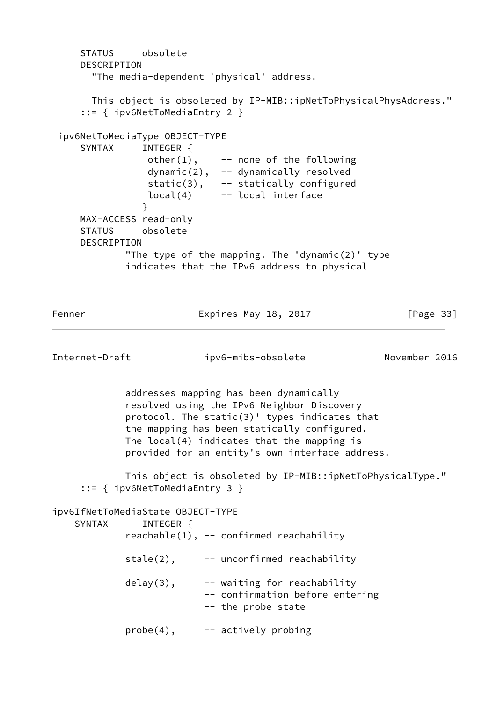STATUS obsolete DESCRIPTION "The media-dependent `physical' address. This object is obsoleted by IP-MIB::ipNetToPhysicalPhysAddress." ::= { ipv6NetToMediaEntry 2 } ipv6NetToMediaType OBJECT-TYPE SYNTAX INTEGER {  $other(1)$ ,  $--$  none of the following dynamic(2), -- dynamically resolved static(3), -- statically configured local(4) -- local interface } MAX-ACCESS read-only STATUS obsolete DESCRIPTION "The type of the mapping. The 'dynamic $(2)$ ' type indicates that the IPv6 address to physical Fenner **Expires May 18, 2017** [Page 33] Internet-Draft ipv6-mibs-obsolete November 2016 addresses mapping has been dynamically resolved using the IPv6 Neighbor Discovery protocol. The static(3)' types indicates that the mapping has been statically configured. The local(4) indicates that the mapping is provided for an entity's own interface address. This object is obsoleted by IP-MIB::ipNetToPhysicalType." ::= { ipv6NetToMediaEntry 3 } ipv6IfNetToMediaState OBJECT-TYPE SYNTAX INTEGER {  $reachable(1)$ , -- confirmed reachability  $state(2)$ ,  $-$  unconfirmed reachability  $delay(3)$ ,  $-$  waiting for reachability -- confirmation before entering -- the probe state  $probe(4)$ ,  $--$  actively probing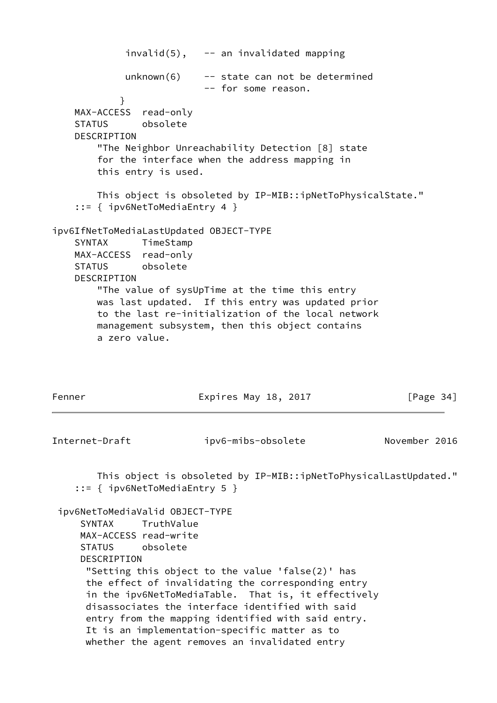$invald(5)$ ,  $-$  an invalidated mapping  $unknown(6)$  -- state can not be determined -- for some reason. } MAX-ACCESS read-only STATUS obsolete DESCRIPTION "The Neighbor Unreachability Detection [8] state for the interface when the address mapping in this entry is used. This object is obsoleted by IP-MIB::ipNetToPhysicalState." ::= { ipv6NetToMediaEntry 4 } ipv6IfNetToMediaLastUpdated OBJECT-TYPE SYNTAX TimeStamp MAX-ACCESS read-only STATUS obsolete DESCRIPTION "The value of sysUpTime at the time this entry was last updated. If this entry was updated prior to the last re-initialization of the local network management subsystem, then this object contains a zero value. Fenner Expires May 18, 2017 [Page 34] Internet-Draft ipv6-mibs-obsolete November 2016 This object is obsoleted by IP-MIB::ipNetToPhysicalLastUpdated." ::= { ipv6NetToMediaEntry 5 } ipv6NetToMediaValid OBJECT-TYPE SYNTAX TruthValue MAX-ACCESS read-write STATUS obsolete DESCRIPTION "Setting this object to the value 'false(2)' has the effect of invalidating the corresponding entry in the ipv6NetToMediaTable. That is, it effectively disassociates the interface identified with said entry from the mapping identified with said entry. It is an implementation-specific matter as to whether the agent removes an invalidated entry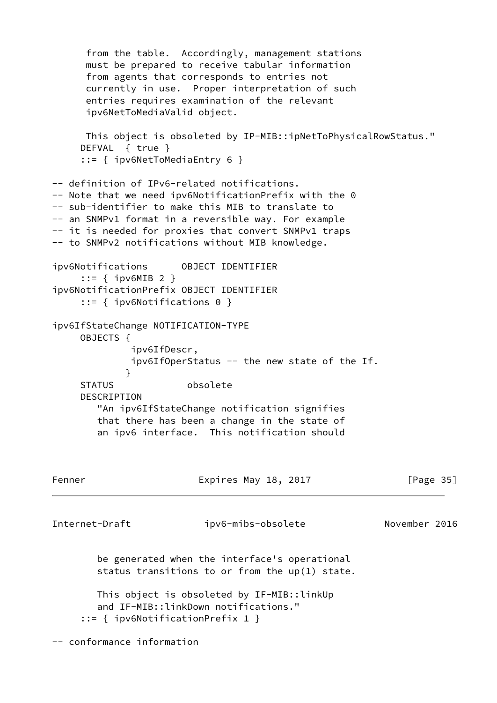```
 from the table. Accordingly, management stations
      must be prepared to receive tabular information
      from agents that corresponds to entries not
      currently in use. Proper interpretation of such
      entries requires examination of the relevant
      ipv6NetToMediaValid object.
      This object is obsoleted by IP-MIB::ipNetToPhysicalRowStatus."
     DEFVAL { true }
      ::= { ipv6NetToMediaEntry 6 }
-- definition of IPv6-related notifications.
-- Note that we need ipv6NotificationPrefix with the 0
-- sub-identifier to make this MIB to translate to
-- an SNMPv1 format in a reversible way. For example
-- it is needed for proxies that convert SNMPv1 traps
-- to SNMPv2 notifications without MIB knowledge.
ipv6Notifications OBJECT IDENTIFIER
     ::= { ipv6MIB 2 }
ipv6NotificationPrefix OBJECT IDENTIFIER
     ::= { ipv6Notifications 0 }
ipv6IfStateChange NOTIFICATION-TYPE
     OBJECTS {
              ipv6IfDescr,
              ipv6IfOperStatus -- the new state of the If.
 }
     STATUS obsolete
     DESCRIPTION
        "An ipv6IfStateChange notification signifies
        that there has been a change in the state of
        an ipv6 interface. This notification should
Fenner Expires May 18, 2017 [Page 35]
Internet-Draft ipv6-mibs-obsolete November 2016
        be generated when the interface's operational
        status transitions to or from the up(1) state.
        This object is obsoleted by IF-MIB::linkUp
        and IF-MIB::linkDown notifications."
      ::= { ipv6NotificationPrefix 1 }
-- conformance information
```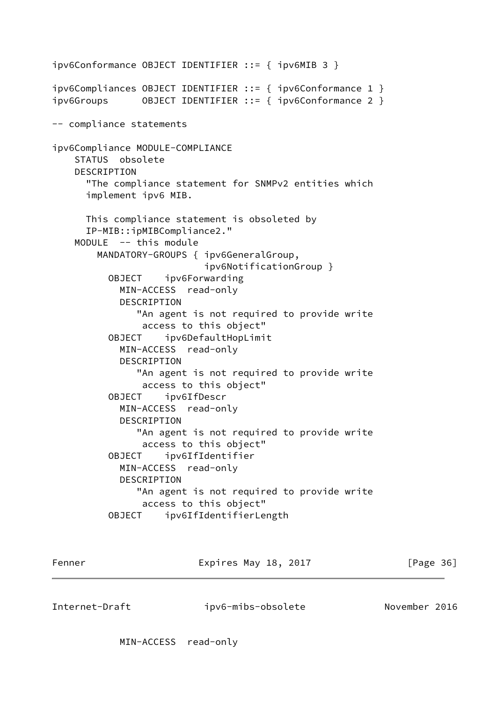```
ipv6Conformance OBJECT IDENTIFIER ::= { ipv6MIB 3 }
ipv6Compliances OBJECT IDENTIFIER ::= { ipv6Conformance 1 }
ipv6Groups OBJECT IDENTIFIER ::= { ipv6Conformance 2 }
-- compliance statements
ipv6Compliance MODULE-COMPLIANCE
     STATUS obsolete
    DESCRIPTION
       "The compliance statement for SNMPv2 entities which
       implement ipv6 MIB.
       This compliance statement is obsoleted by
       IP-MIB::ipMIBCompliance2."
     MODULE -- this module
         MANDATORY-GROUPS { ipv6GeneralGroup,
                            ipv6NotificationGroup }
           OBJECT ipv6Forwarding
             MIN-ACCESS read-only
             DESCRIPTION
                "An agent is not required to provide write
                 access to this object"
           OBJECT ipv6DefaultHopLimit
             MIN-ACCESS read-only
             DESCRIPTION
                "An agent is not required to provide write
                 access to this object"
           OBJECT ipv6IfDescr
             MIN-ACCESS read-only
             DESCRIPTION
                "An agent is not required to provide write
                 access to this object"
           OBJECT ipv6IfIdentifier
             MIN-ACCESS read-only
             DESCRIPTION
                "An agent is not required to provide write
                 access to this object"
           OBJECT ipv6IfIdentifierLength
```
Fenner Expires May 18, 2017 [Page 36]

Internet-Draft ipv6-mibs-obsolete November 2016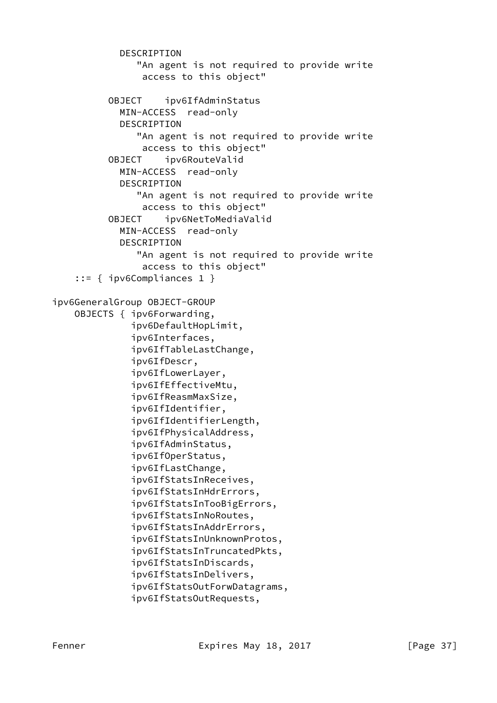```
 DESCRIPTION
                 "An agent is not required to provide write
                 access to this object"
           OBJECT ipv6IfAdminStatus
             MIN-ACCESS read-only
             DESCRIPTION
                 "An agent is not required to provide write
                 access to this object"
           OBJECT ipv6RouteValid
             MIN-ACCESS read-only
             DESCRIPTION
                 "An agent is not required to provide write
                 access to this object"
           OBJECT ipv6NetToMediaValid
             MIN-ACCESS read-only
             DESCRIPTION
                "An agent is not required to provide write
                 access to this object"
     ::= { ipv6Compliances 1 }
ipv6GeneralGroup OBJECT-GROUP
     OBJECTS { ipv6Forwarding,
               ipv6DefaultHopLimit,
               ipv6Interfaces,
               ipv6IfTableLastChange,
               ipv6IfDescr,
               ipv6IfLowerLayer,
               ipv6IfEffectiveMtu,
               ipv6IfReasmMaxSize,
               ipv6IfIdentifier,
               ipv6IfIdentifierLength,
               ipv6IfPhysicalAddress,
               ipv6IfAdminStatus,
               ipv6IfOperStatus,
               ipv6IfLastChange,
               ipv6IfStatsInReceives,
               ipv6IfStatsInHdrErrors,
               ipv6IfStatsInTooBigErrors,
               ipv6IfStatsInNoRoutes,
               ipv6IfStatsInAddrErrors,
               ipv6IfStatsInUnknownProtos,
               ipv6IfStatsInTruncatedPkts,
               ipv6IfStatsInDiscards,
               ipv6IfStatsInDelivers,
               ipv6IfStatsOutForwDatagrams,
               ipv6IfStatsOutRequests,
```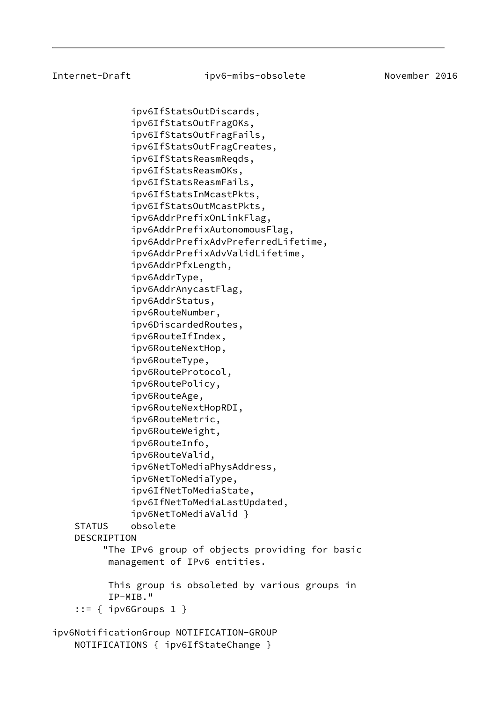ipv6IfStatsOutDiscards, ipv6IfStatsOutFragOKs, ipv6IfStatsOutFragFails, ipv6IfStatsOutFragCreates, ipv6IfStatsReasmReqds, ipv6IfStatsReasmOKs, ipv6IfStatsReasmFails, ipv6IfStatsInMcastPkts, ipv6IfStatsOutMcastPkts, ipv6AddrPrefixOnLinkFlag, ipv6AddrPrefixAutonomousFlag, ipv6AddrPrefixAdvPreferredLifetime, ipv6AddrPrefixAdvValidLifetime, ipv6AddrPfxLength, ipv6AddrType, ipv6AddrAnycastFlag, ipv6AddrStatus, ipv6RouteNumber, ipv6DiscardedRoutes, ipv6RouteIfIndex, ipv6RouteNextHop, ipv6RouteType, ipv6RouteProtocol, ipv6RoutePolicy, ipv6RouteAge, ipv6RouteNextHopRDI, ipv6RouteMetric, ipv6RouteWeight, ipv6RouteInfo, ipv6RouteValid, ipv6NetToMediaPhysAddress, ipv6NetToMediaType, ipv6IfNetToMediaState, ipv6IfNetToMediaLastUpdated, ipv6NetToMediaValid } STATUS obsolete DESCRIPTION "The IPv6 group of objects providing for basic management of IPv6 entities. This group is obsoleted by various groups in IP-MIB." ::= { ipv6Groups 1 } ipv6NotificationGroup NOTIFICATION-GROUP

NOTIFICATIONS { ipv6IfStateChange }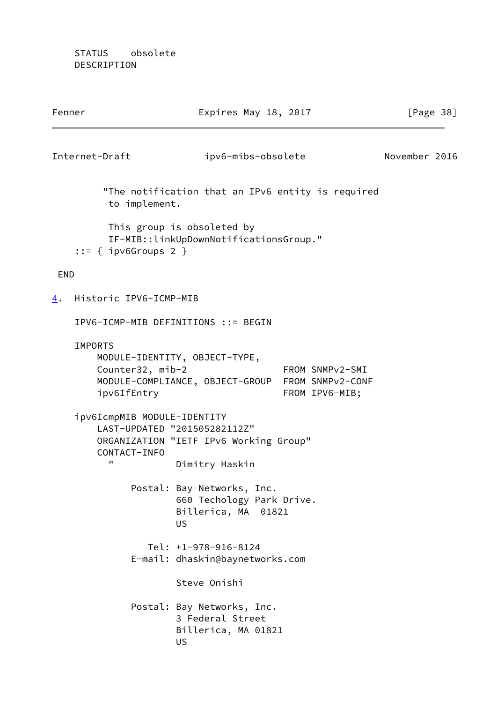STATUS obsolete DESCRIPTION

<span id="page-43-0"></span>

| Fenner                                     |                  | Expires May 18, 2017                                                                        |                                   |               | [Page $38$ ] |
|--------------------------------------------|------------------|---------------------------------------------------------------------------------------------|-----------------------------------|---------------|--------------|
| Internet-Draft                             |                  | ipv6-mibs-obsolete                                                                          |                                   | November 2016 |              |
|                                            | to implement.    | "The notification that an IPv6 entity is required                                           |                                   |               |              |
| $::=$ { ipv6Groups 2 }                     |                  | This group is obsoleted by<br>IF-MIB::linkUpDownNotificationsGroup."                        |                                   |               |              |
| <b>END</b>                                 |                  |                                                                                             |                                   |               |              |
| Historic IPV6-ICMP-MIB<br>$\overline{4}$ . |                  |                                                                                             |                                   |               |              |
|                                            |                  | IPV6-ICMP-MIB DEFINITIONS ::= BEGIN                                                         |                                   |               |              |
| <b>IMPORTS</b><br>ipv6IfEntry              | Counter32, mib-2 | MODULE-IDENTITY, OBJECT-TYPE,<br>MODULE-COMPLIANCE, OBJECT-GROUP FROM SNMPv2-CONF           | FROM SNMPv2-SMI<br>FROM IPV6-MIB; |               |              |
| ipv6IcmpMIB MODULE-IDENTITY<br>11          | CONTACT-INFO     | LAST-UPDATED "201505282112Z"<br>ORGANIZATION "IETF IPv6 Working Group"<br>Dimitry Haskin    |                                   |               |              |
|                                            |                  | Postal: Bay Networks, Inc.<br>660 Techology Park Drive.<br>Billerica, MA 01821<br><b>US</b> |                                   |               |              |
|                                            |                  | $Tel: +1-978-916-8124$<br>E-mail: dhaskin@baynetworks.com                                   |                                   |               |              |
|                                            |                  | Steve Onishi                                                                                |                                   |               |              |
|                                            |                  | Postal: Bay Networks, Inc.<br>3 Federal Street<br>Billerica, MA 01821<br><b>US</b>          |                                   |               |              |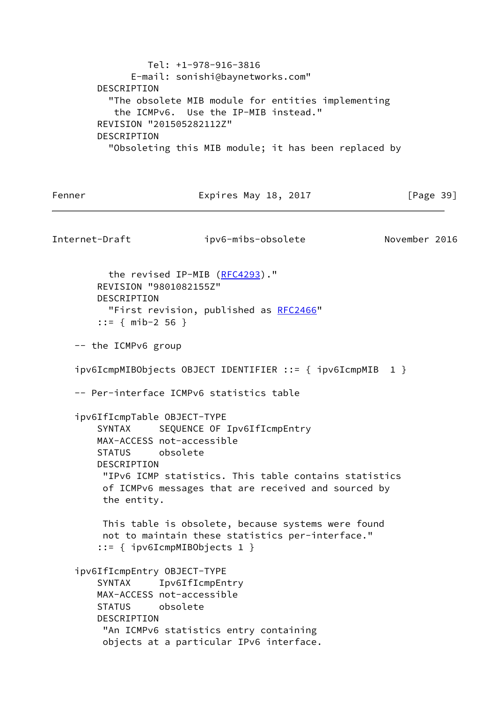Tel: +1-978-916-3816 E-mail: sonishi@baynetworks.com" DESCRIPTION "The obsolete MIB module for entities implementing the ICMPv6. Use the IP-MIB instead." REVISION "201505282112Z" DESCRIPTION "Obsoleting this MIB module; it has been replaced by Fenner Expires May 18, 2017 [Page 39] Internet-Draft ipv6-mibs-obsolete November 2016 the revised IP-MIB ([RFC4293](https://datatracker.ietf.org/doc/pdf/rfc4293))." REVISION "9801082155Z" DESCRIPTION "First revision, published as [RFC2466](https://datatracker.ietf.org/doc/pdf/rfc2466)" ::= { mib-2 56 } -- the ICMPv6 group ipv6IcmpMIBObjects OBJECT IDENTIFIER ::= { ipv6IcmpMIB 1 } -- Per-interface ICMPv6 statistics table ipv6IfIcmpTable OBJECT-TYPE SYNTAX SEQUENCE OF Ipv6IfIcmpEntry MAX-ACCESS not-accessible STATUS obsolete DESCRIPTION "IPv6 ICMP statistics. This table contains statistics of ICMPv6 messages that are received and sourced by the entity. This table is obsolete, because systems were found not to maintain these statistics per-interface." ::= { ipv6IcmpMIBObjects 1 } ipv6IfIcmpEntry OBJECT-TYPE SYNTAX Ipv6IfIcmpEntry MAX-ACCESS not-accessible STATUS obsolete DESCRIPTION "An ICMPv6 statistics entry containing objects at a particular IPv6 interface.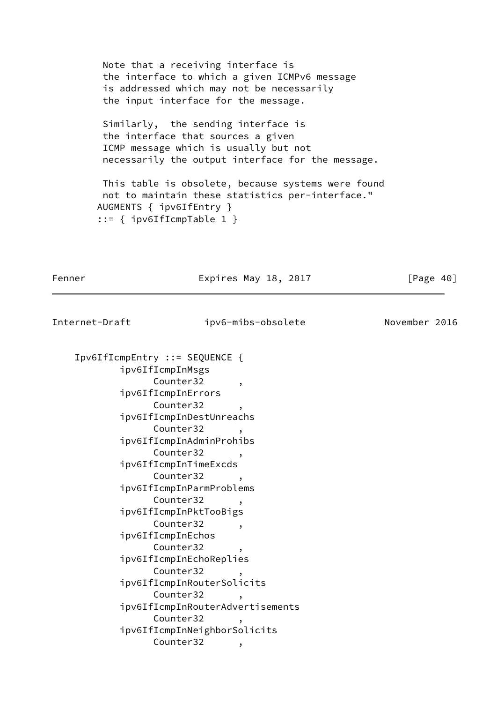Note that a receiving interface is the interface to which a given ICMPv6 message is addressed which may not be necessarily the input interface for the message.

 Similarly, the sending interface is the interface that sources a given ICMP message which is usually but not necessarily the output interface for the message.

 This table is obsolete, because systems were found not to maintain these statistics per-interface." AUGMENTS { ipv6IfEntry } ::= { ipv6IfIcmpTable 1 }

Fenner Expires May 18, 2017 [Page 40]

| Ipv6IfIcmpEntry ::= SEQUENCE {<br>ipv6IfIcmpInMsgs<br>Counter32<br>$\cdot$<br>ipv6IfIcmpInErrors<br>Counter32<br>$\overline{\phantom{a}}$<br>ipv6IfIcmpInDestUnreachs<br>Counter32<br>ipv6IfIcmpInAdminProhibs<br>Counter32<br>ipv6IfIcmpInTimeExcds<br>Counter32<br>,<br>ipv6IfIcmpInParmProblems | November 2016 |
|----------------------------------------------------------------------------------------------------------------------------------------------------------------------------------------------------------------------------------------------------------------------------------------------------|---------------|
|                                                                                                                                                                                                                                                                                                    |               |
|                                                                                                                                                                                                                                                                                                    |               |
|                                                                                                                                                                                                                                                                                                    |               |
|                                                                                                                                                                                                                                                                                                    |               |
|                                                                                                                                                                                                                                                                                                    |               |
|                                                                                                                                                                                                                                                                                                    |               |
|                                                                                                                                                                                                                                                                                                    |               |
|                                                                                                                                                                                                                                                                                                    |               |
|                                                                                                                                                                                                                                                                                                    |               |
|                                                                                                                                                                                                                                                                                                    |               |
|                                                                                                                                                                                                                                                                                                    |               |
|                                                                                                                                                                                                                                                                                                    |               |
|                                                                                                                                                                                                                                                                                                    |               |
| Counter32                                                                                                                                                                                                                                                                                          |               |
| ipv6IfIcmpInPktTooBigs                                                                                                                                                                                                                                                                             |               |
| Counter32<br>$\overline{\phantom{a}}$                                                                                                                                                                                                                                                              |               |
| ipv6IfIcmpInEchos                                                                                                                                                                                                                                                                                  |               |
| Counter32                                                                                                                                                                                                                                                                                          |               |
| ipv6IfIcmpInEchoReplies                                                                                                                                                                                                                                                                            |               |
| Counter32                                                                                                                                                                                                                                                                                          |               |
| ipv6IfIcmpInRouterSolicits                                                                                                                                                                                                                                                                         |               |
| Counter32                                                                                                                                                                                                                                                                                          |               |
| ipv6IfIcmpInRouterAdvertisements                                                                                                                                                                                                                                                                   |               |
| Counter32<br>,                                                                                                                                                                                                                                                                                     |               |
| ipv6IfIcmpInNeighborSolicits                                                                                                                                                                                                                                                                       |               |
| Counter32<br>,                                                                                                                                                                                                                                                                                     |               |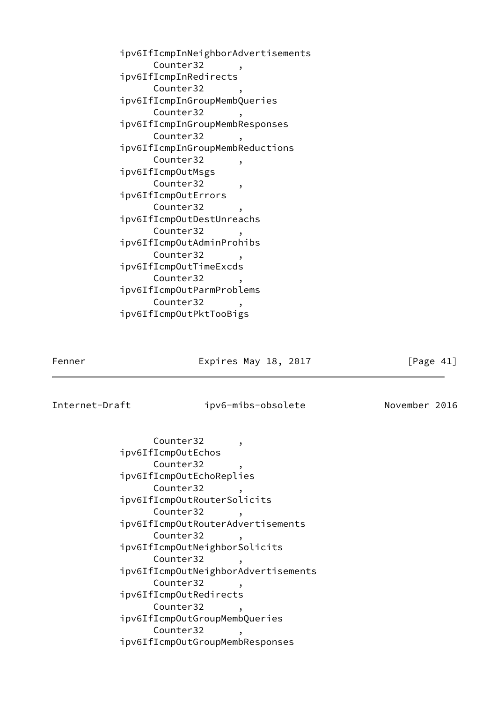| ipv6IfIcmpInNeighborAdvertisements |                |
|------------------------------------|----------------|
| Counter32                          |                |
| ipv6IfIcmpInRedirects              |                |
| Counter32                          | ,              |
| ipv6IfIcmpInGroupMembQueries       |                |
| Counter32                          | $\overline{ }$ |
| ipv6IfIcmpInGroupMembResponses     |                |
| Counter32                          |                |
| ipv6IfIcmpInGroupMembReductions    |                |
| Counter32                          | ,              |
| ipv6IfIcmpOutMsgs                  |                |
| Counter32                          | ,              |
| ipv6IfIcmp0utErrors                |                |
| Counter32                          | $\overline{ }$ |
| ipv6IfIcmpOutDestUnreachs          |                |
| Counter32                          |                |
| ipv6IfIcmpOutAdminProhibs          |                |
| Counter32                          |                |
| ipv6IfIcmp0utTimeExcds             |                |
| Counter32                          | ,              |
| ipv6IfIcmpOutParmProblems          |                |
| Counter32                          |                |
| ipv6IfIcmpOutPktTooBigs            |                |

Fenner Expires May 18, 2017 [Page 41]

Internet-Draft ipv6-mibs-obsolete November 2016

Counter32, ipv6IfIcmpOutEchos Counter32 ipv6IfIcmpOutEchoReplies Counter32 ipv6IfIcmpOutRouterSolicits Counter32, ipv6IfIcmpOutRouterAdvertisements Counter32, ipv6IfIcmpOutNeighborSolicits Counter32, ipv6IfIcmpOutNeighborAdvertisements Counter32 ipv6IfIcmpOutRedirects Counter32, ipv6IfIcmpOutGroupMembQueries Counter32, ipv6IfIcmpOutGroupMembResponses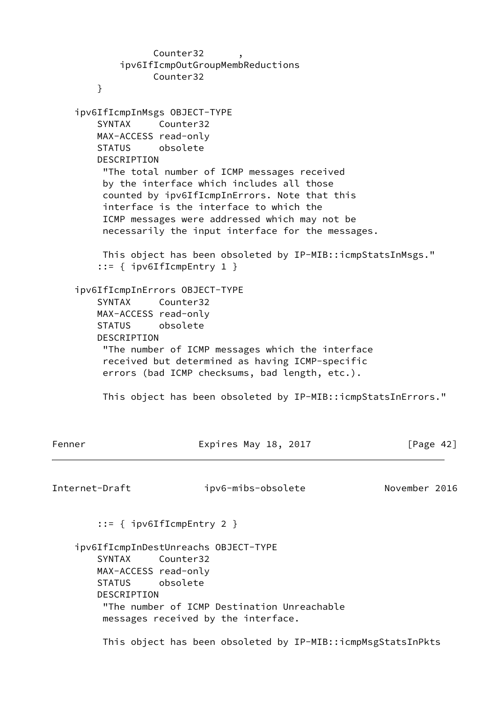Counter32 ipv6IfIcmpOutGroupMembReductions Counter32 } ipv6IfIcmpInMsgs OBJECT-TYPE SYNTAX Counter32 MAX-ACCESS read-only STATUS obsolete DESCRIPTION "The total number of ICMP messages received by the interface which includes all those counted by ipv6IfIcmpInErrors. Note that this interface is the interface to which the ICMP messages were addressed which may not be necessarily the input interface for the messages. This object has been obsoleted by IP-MIB::icmpStatsInMsgs." ::= { ipv6IfIcmpEntry 1 } ipv6IfIcmpInErrors OBJECT-TYPE SYNTAX Counter32 MAX-ACCESS read-only STATUS obsolete DESCRIPTION "The number of ICMP messages which the interface received but determined as having ICMP-specific errors (bad ICMP checksums, bad length, etc.). This object has been obsoleted by IP-MIB::icmpStatsInErrors." Fenner **Expires May 18, 2017** [Page 42] Internet-Draft ipv6-mibs-obsolete November 2016 ::= { ipv6IfIcmpEntry 2 } ipv6IfIcmpInDestUnreachs OBJECT-TYPE SYNTAX Counter32 MAX-ACCESS read-only STATUS obsolete DESCRIPTION "The number of ICMP Destination Unreachable messages received by the interface. This object has been obsoleted by IP-MIB::icmpMsgStatsInPkts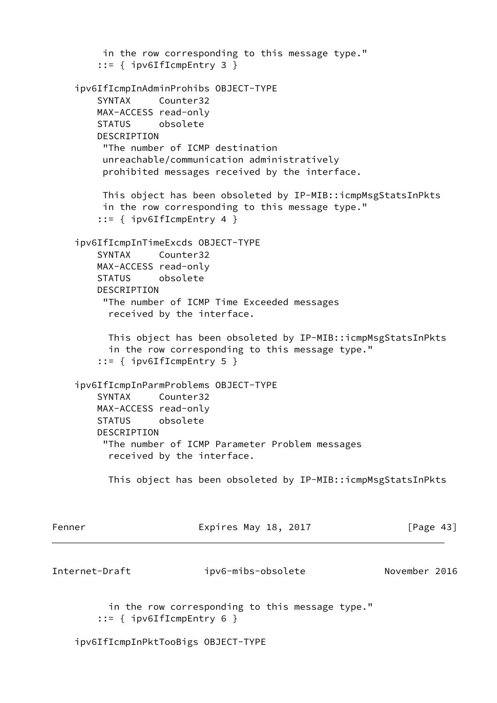in the row corresponding to this message type." ::= { ipv6IfIcmpEntry 3 } ipv6IfIcmpInAdminProhibs OBJECT-TYPE SYNTAX Counter32 MAX-ACCESS read-only STATUS obsolete DESCRIPTION "The number of ICMP destination unreachable/communication administratively prohibited messages received by the interface. This object has been obsoleted by IP-MIB::icmpMsgStatsInPkts in the row corresponding to this message type." ::= { ipv6IfIcmpEntry 4 } ipv6IfIcmpInTimeExcds OBJECT-TYPE SYNTAX Counter32 MAX-ACCESS read-only STATUS obsolete DESCRIPTION "The number of ICMP Time Exceeded messages received by the interface. This object has been obsoleted by IP-MIB::icmpMsgStatsInPkts in the row corresponding to this message type." ::= { ipv6IfIcmpEntry 5 } ipv6IfIcmpInParmProblems OBJECT-TYPE SYNTAX Counter32 MAX-ACCESS read-only STATUS obsolete DESCRIPTION "The number of ICMP Parameter Problem messages received by the interface. This object has been obsoleted by IP-MIB::icmpMsgStatsInPkts Fenner **Expires May 18, 2017** [Page 43] Internet-Draft ipv6-mibs-obsolete November 2016 in the row corresponding to this message type." ::=  $\{$  ipv6IfIcmpEntry 6  $\}$ 

ipv6IfIcmpInPktTooBigs OBJECT-TYPE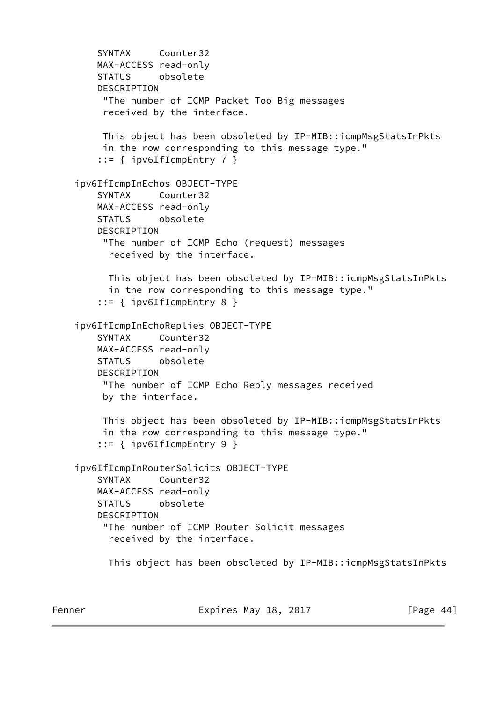```
 SYNTAX Counter32
    MAX-ACCESS read-only
    STATUS obsolete
    DESCRIPTION
      "The number of ICMP Packet Too Big messages
      received by the interface.
     This object has been obsoleted by IP-MIB::icmpMsgStatsInPkts
     in the row corresponding to this message type."
     ::= { ipv6IfIcmpEntry 7 }
 ipv6IfIcmpInEchos OBJECT-TYPE
    SYNTAX Counter32
    MAX-ACCESS read-only
    STATUS obsolete
    DESCRIPTION
      "The number of ICMP Echo (request) messages
       received by the interface.
      This object has been obsoleted by IP-MIB::icmpMsgStatsInPkts
       in the row corresponding to this message type."
     ::= { ipv6IfIcmpEntry 8 }
 ipv6IfIcmpInEchoReplies OBJECT-TYPE
    SYNTAX Counter32
    MAX-ACCESS read-only
    STATUS obsolete
    DESCRIPTION
      "The number of ICMP Echo Reply messages received
      by the interface.
     This object has been obsoleted by IP-MIB::icmpMsgStatsInPkts
      in the row corresponding to this message type."
     ::= { ipv6IfIcmpEntry 9 }
 ipv6IfIcmpInRouterSolicits OBJECT-TYPE
     SYNTAX Counter32
    MAX-ACCESS read-only
    STATUS obsolete
    DESCRIPTION
      "The number of ICMP Router Solicit messages
       received by the interface.
       This object has been obsoleted by IP-MIB::icmpMsgStatsInPkts
```
Fenner Expires May 18, 2017 [Page 44]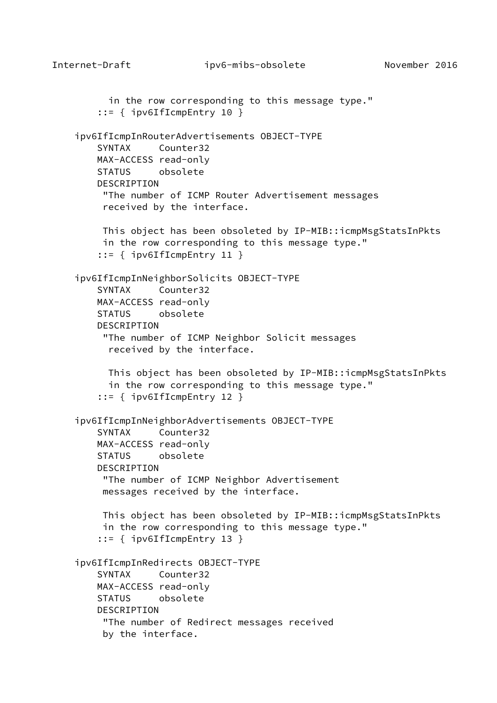```
Internet-Draft ipv6-mibs-obsolete November 2016
           in the row corresponding to this message type."
        ::= { ipv6IfIcmpEntry 10 }
     ipv6IfIcmpInRouterAdvertisements OBJECT-TYPE
         SYNTAX Counter32
         MAX-ACCESS read-only
         STATUS obsolete
         DESCRIPTION
          "The number of ICMP Router Advertisement messages
          received by the interface.
         This object has been obsoleted by IP-MIB::icmpMsgStatsInPkts
          in the row corresponding to this message type."
         ::= { ipv6IfIcmpEntry 11 }
     ipv6IfIcmpInNeighborSolicits OBJECT-TYPE
         SYNTAX Counter32
        MAX-ACCESS read-only
         STATUS obsolete
         DESCRIPTION
          "The number of ICMP Neighbor Solicit messages
           received by the interface.
           This object has been obsoleted by IP-MIB::icmpMsgStatsInPkts
           in the row corresponding to this message type."
         ::= { ipv6IfIcmpEntry 12 }
     ipv6IfIcmpInNeighborAdvertisements OBJECT-TYPE
         SYNTAX Counter32
        MAX-ACCESS read-only
         STATUS obsolete
         DESCRIPTION
          "The number of ICMP Neighbor Advertisement
          messages received by the interface.
          This object has been obsoleted by IP-MIB::icmpMsgStatsInPkts
          in the row corresponding to this message type."
         ::= { ipv6IfIcmpEntry 13 }
     ipv6IfIcmpInRedirects OBJECT-TYPE
         SYNTAX Counter32
        MAX-ACCESS read-only
         STATUS obsolete
         DESCRIPTION
          "The number of Redirect messages received
          by the interface.
```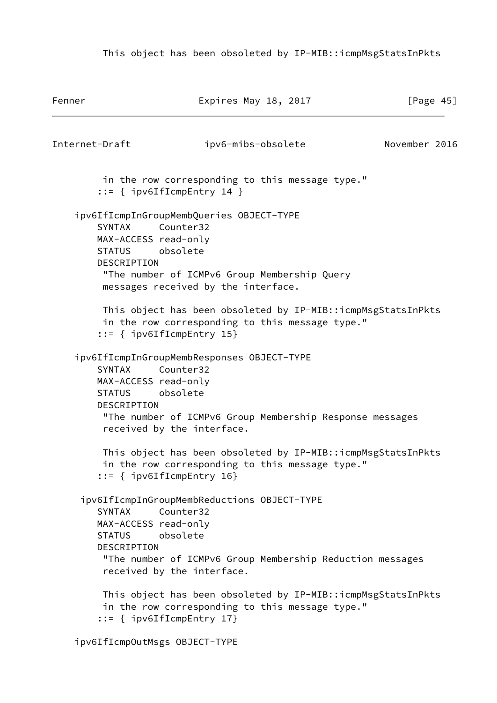This object has been obsoleted by IP-MIB::icmpMsgStatsInPkts

```
Fenner Expires May 18, 2017 [Page 45]
Internet-Draft ipv6-mibs-obsolete November 2016
         in the row corresponding to this message type."
         ::= { ipv6IfIcmpEntry 14 }
     ipv6IfIcmpInGroupMembQueries OBJECT-TYPE
        SYNTAX Counter32
        MAX-ACCESS read-only
        STATUS obsolete
        DESCRIPTION
         "The number of ICMPv6 Group Membership Query
         messages received by the interface.
         This object has been obsoleted by IP-MIB::icmpMsgStatsInPkts
         in the row corresponding to this message type."
         ::= { ipv6IfIcmpEntry 15}
     ipv6IfIcmpInGroupMembResponses OBJECT-TYPE
        SYNTAX Counter32
        MAX-ACCESS read-only
        STATUS obsolete
        DESCRIPTION
         "The number of ICMPv6 Group Membership Response messages
         received by the interface.
         This object has been obsoleted by IP-MIB::icmpMsgStatsInPkts
         in the row corresponding to this message type."
         ::= { ipv6IfIcmpEntry 16}
     ipv6IfIcmpInGroupMembReductions OBJECT-TYPE
        SYNTAX Counter32
        MAX-ACCESS read-only
        STATUS obsolete
        DESCRIPTION
         "The number of ICMPv6 Group Membership Reduction messages
         received by the interface.
         This object has been obsoleted by IP-MIB::icmpMsgStatsInPkts
         in the row corresponding to this message type."
         ::= { ipv6IfIcmpEntry 17}
```
ipv6IfIcmpOutMsgs OBJECT-TYPE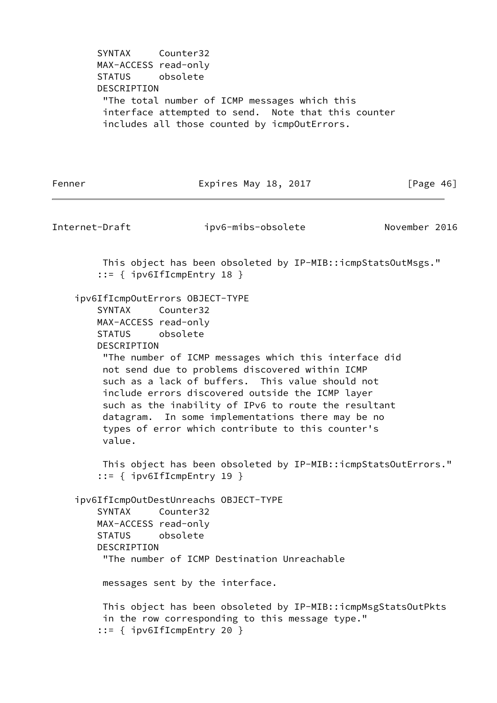SYNTAX Counter32 MAX-ACCESS read-only STATUS obsolete DESCRIPTION "The total number of ICMP messages which this interface attempted to send. Note that this counter includes all those counted by icmpOutErrors.

Fenner Expires May 18, 2017 [Page 46]

Internet-Draft ipv6-mibs-obsolete November 2016 This object has been obsoleted by IP-MIB::icmpStatsOutMsgs." ::= { ipv6IfIcmpEntry 18 } ipv6IfIcmpOutErrors OBJECT-TYPE SYNTAX Counter32 MAX-ACCESS read-only STATUS obsolete DESCRIPTION "The number of ICMP messages which this interface did not send due to problems discovered within ICMP such as a lack of buffers. This value should not include errors discovered outside the ICMP layer such as the inability of IPv6 to route the resultant datagram. In some implementations there may be no types of error which contribute to this counter's value. This object has been obsoleted by IP-MIB::icmpStatsOutErrors." ::= { ipv6IfIcmpEntry 19 } ipv6IfIcmpOutDestUnreachs OBJECT-TYPE SYNTAX Counter32 MAX-ACCESS read-only STATUS obsolete DESCRIPTION "The number of ICMP Destination Unreachable messages sent by the interface. This object has been obsoleted by IP-MIB::icmpMsgStatsOutPkts in the row corresponding to this message type." ::= { ipv6IfIcmpEntry 20 }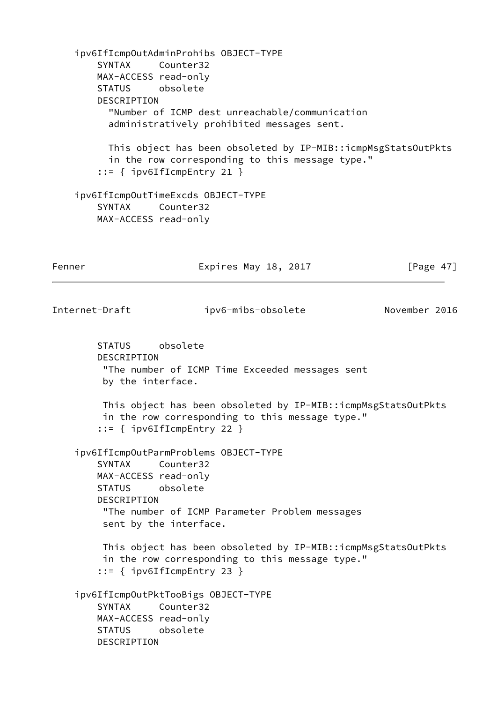ipv6IfIcmpOutAdminProhibs OBJECT-TYPE SYNTAX Counter32 MAX-ACCESS read-only STATUS obsolete DESCRIPTION "Number of ICMP dest unreachable/communication administratively prohibited messages sent. This object has been obsoleted by IP-MIB::icmpMsgStatsOutPkts in the row corresponding to this message type." ::= { ipv6IfIcmpEntry 21 } ipv6IfIcmpOutTimeExcds OBJECT-TYPE SYNTAX Counter32 MAX-ACCESS read-only Fenner Expires May 18, 2017 [Page 47] Internet-Draft ipv6-mibs-obsolete November 2016 STATUS obsolete DESCRIPTION "The number of ICMP Time Exceeded messages sent by the interface. This object has been obsoleted by IP-MIB::icmpMsgStatsOutPkts in the row corresponding to this message type." ::= { ipv6IfIcmpEntry 22 } ipv6IfIcmpOutParmProblems OBJECT-TYPE SYNTAX Counter32 MAX-ACCESS read-only STATUS obsolete DESCRIPTION "The number of ICMP Parameter Problem messages sent by the interface. This object has been obsoleted by IP-MIB::icmpMsgStatsOutPkts in the row corresponding to this message type." ::= { ipv6IfIcmpEntry 23 } ipv6IfIcmpOutPktTooBigs OBJECT-TYPE SYNTAX Counter32 MAX-ACCESS read-only STATUS obsolete DESCRIPTION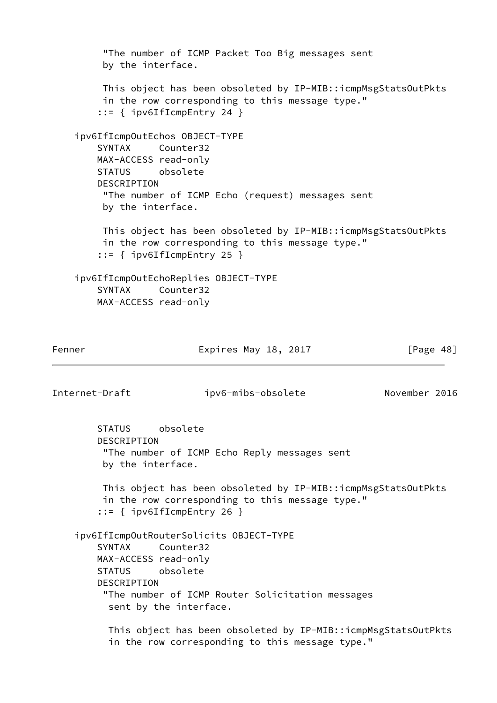```
 "The number of ICMP Packet Too Big messages sent
         by the interface.
         This object has been obsoleted by IP-MIB::icmpMsgStatsOutPkts
         in the row corresponding to this message type."
         ::= { ipv6IfIcmpEntry 24 }
     ipv6IfIcmpOutEchos OBJECT-TYPE
        SYNTAX Counter32
        MAX-ACCESS read-only
        STATUS obsolete
        DESCRIPTION
         "The number of ICMP Echo (request) messages sent
         by the interface.
         This object has been obsoleted by IP-MIB::icmpMsgStatsOutPkts
         in the row corresponding to this message type."
         ::= { ipv6IfIcmpEntry 25 }
     ipv6IfIcmpOutEchoReplies OBJECT-TYPE
        SYNTAX Counter32
        MAX-ACCESS read-only
Fenner Expires May 18, 2017 [Page 48]
Internet-Draft ipv6-mibs-obsolete November 2016
        STATUS obsolete
        DESCRIPTION
         "The number of ICMP Echo Reply messages sent
         by the interface.
         This object has been obsoleted by IP-MIB::icmpMsgStatsOutPkts
         in the row corresponding to this message type."
         ::= { ipv6IfIcmpEntry 26 }
     ipv6IfIcmpOutRouterSolicits OBJECT-TYPE
        SYNTAX Counter32
        MAX-ACCESS read-only
        STATUS obsolete
        DESCRIPTION
         "The number of ICMP Router Solicitation messages
          sent by the interface.
          This object has been obsoleted by IP-MIB::icmpMsgStatsOutPkts
          in the row corresponding to this message type."
```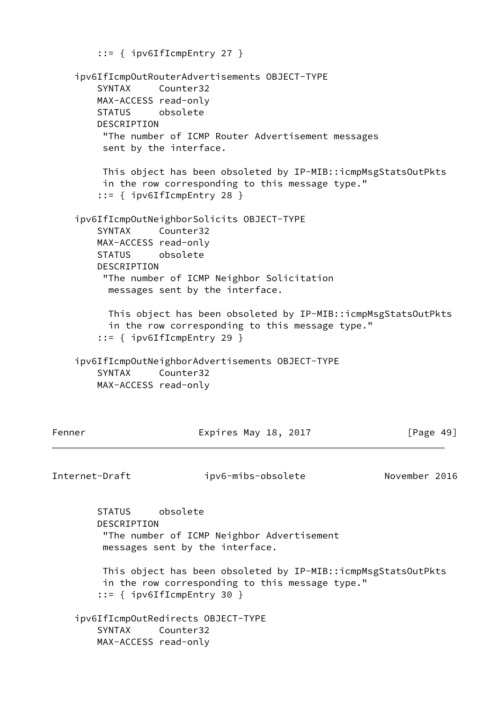```
 ::= { ipv6IfIcmpEntry 27 }
    ipv6IfIcmpOutRouterAdvertisements OBJECT-TYPE
        SYNTAX Counter32
        MAX-ACCESS read-only
        STATUS obsolete
        DESCRIPTION
         "The number of ICMP Router Advertisement messages
         sent by the interface.
         This object has been obsoleted by IP-MIB::icmpMsgStatsOutPkts
         in the row corresponding to this message type."
        ::= { ipv6IfIcmpEntry 28 }
    ipv6IfIcmpOutNeighborSolicits OBJECT-TYPE
        SYNTAX Counter32
        MAX-ACCESS read-only
        STATUS obsolete
        DESCRIPTION
         "The number of ICMP Neighbor Solicitation
          messages sent by the interface.
          This object has been obsoleted by IP-MIB::icmpMsgStatsOutPkts
          in the row corresponding to this message type."
        ::= { ipv6IfIcmpEntry 29 }
    ipv6IfIcmpOutNeighborAdvertisements OBJECT-TYPE
        SYNTAX Counter32
        MAX-ACCESS read-only
Fenner Expires May 18, 2017 [Page 49]
Internet-Draft ipv6-mibs-obsolete November 2016
        STATUS obsolete
        DESCRIPTION
         "The number of ICMP Neighbor Advertisement
         messages sent by the interface.
         This object has been obsoleted by IP-MIB::icmpMsgStatsOutPkts
         in the row corresponding to this message type."
        ::= { ipv6IfIcmpEntry 30 }
    ipv6IfIcmpOutRedirects OBJECT-TYPE
        SYNTAX Counter32
        MAX-ACCESS read-only
```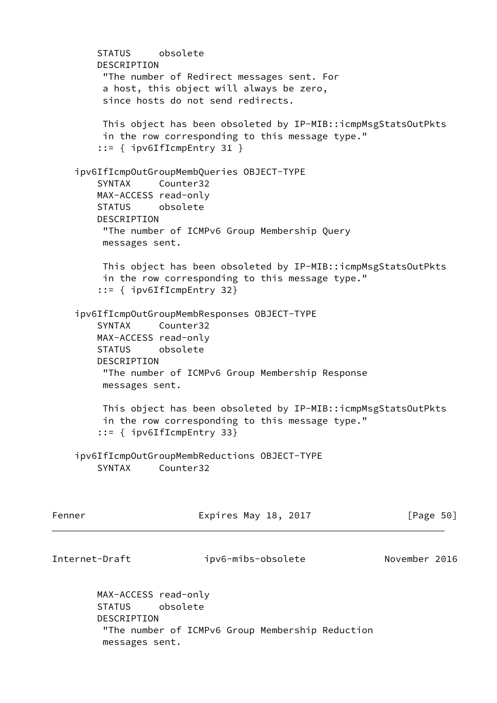STATUS obsolete DESCRIPTION "The number of Redirect messages sent. For a host, this object will always be zero, since hosts do not send redirects. This object has been obsoleted by IP-MIB::icmpMsgStatsOutPkts in the row corresponding to this message type." ::= { ipv6IfIcmpEntry 31 } ipv6IfIcmpOutGroupMembQueries OBJECT-TYPE SYNTAX Counter32 MAX-ACCESS read-only STATUS obsolete DESCRIPTION "The number of ICMPv6 Group Membership Query messages sent. This object has been obsoleted by IP-MIB::icmpMsgStatsOutPkts in the row corresponding to this message type." ::= { ipv6IfIcmpEntry 32} ipv6IfIcmpOutGroupMembResponses OBJECT-TYPE SYNTAX Counter32 MAX-ACCESS read-only STATUS obsolete DESCRIPTION "The number of ICMPv6 Group Membership Response messages sent. This object has been obsoleted by IP-MIB::icmpMsgStatsOutPkts in the row corresponding to this message type." ::= { ipv6IfIcmpEntry 33} ipv6IfIcmpOutGroupMembReductions OBJECT-TYPE SYNTAX Counter32 Fenner Expires May 18, 2017 [Page 50] Internet-Draft ipv6-mibs-obsolete November 2016 MAX-ACCESS read-only STATUS obsolete DESCRIPTION

 "The number of ICMPv6 Group Membership Reduction messages sent.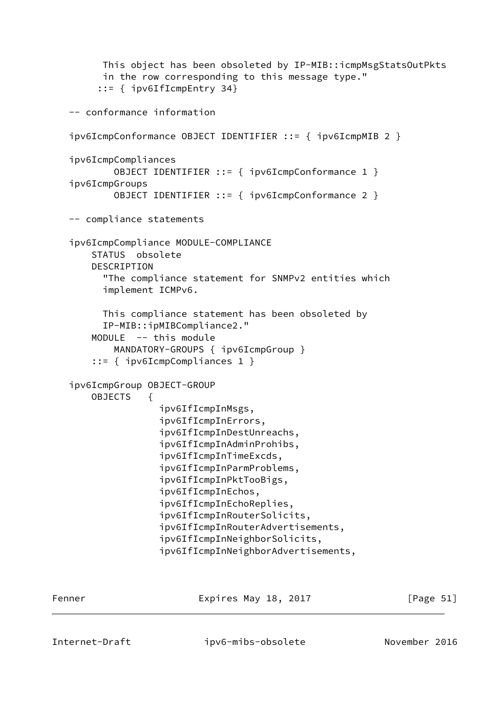```
 This object has been obsoleted by IP-MIB::icmpMsgStatsOutPkts
       in the row corresponding to this message type."
      ::= { ipv6IfIcmpEntry 34}
 -- conformance information
 ipv6IcmpConformance OBJECT IDENTIFIER ::= { ipv6IcmpMIB 2 }
 ipv6IcmpCompliances
         OBJECT IDENTIFIER ::= { ipv6IcmpConformance 1 }
 ipv6IcmpGroups
         OBJECT IDENTIFIER ::= { ipv6IcmpConformance 2 }
 -- compliance statements
 ipv6IcmpCompliance MODULE-COMPLIANCE
     STATUS obsolete
     DESCRIPTION
       "The compliance statement for SNMPv2 entities which
       implement ICMPv6.
       This compliance statement has been obsoleted by
       IP-MIB::ipMIBCompliance2."
     MODULE -- this module
         MANDATORY-GROUPS { ipv6IcmpGroup }
     ::= { ipv6IcmpCompliances 1 }
 ipv6IcmpGroup OBJECT-GROUP
     OBJECTS {
                 ipv6IfIcmpInMsgs,
                 ipv6IfIcmpInErrors,
                 ipv6IfIcmpInDestUnreachs,
                 ipv6IfIcmpInAdminProhibs,
                 ipv6IfIcmpInTimeExcds,
                 ipv6IfIcmpInParmProblems,
                 ipv6IfIcmpInPktTooBigs,
                 ipv6IfIcmpInEchos,
                 ipv6IfIcmpInEchoReplies,
                 ipv6IfIcmpInRouterSolicits,
                 ipv6IfIcmpInRouterAdvertisements,
                 ipv6IfIcmpInNeighborSolicits,
                 ipv6IfIcmpInNeighborAdvertisements,
```
Fenner Expires May 18, 2017 [Page 51]

Internet-Draft ipv6-mibs-obsolete November 2016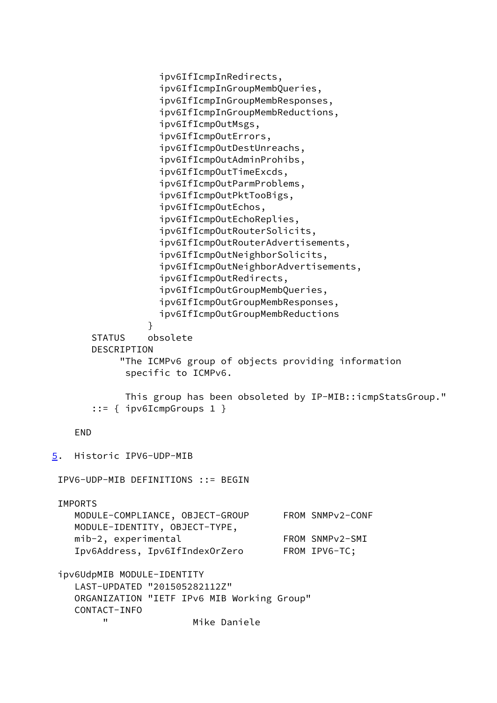<span id="page-58-0"></span>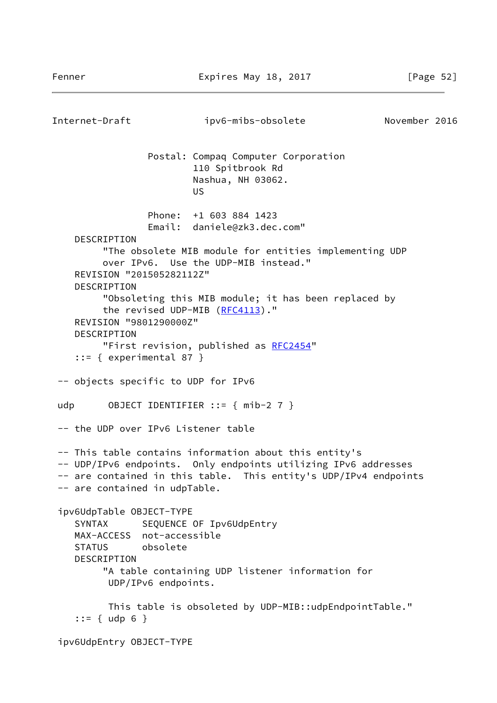Internet-Draft ipv6-mibs-obsolete November 2016 Postal: Compaq Computer Corporation 110 Spitbrook Rd Nashua, NH 03062. **US** *US US*  Phone: +1 603 884 1423 Email: daniele@zk3.dec.com" DESCRIPTION "The obsolete MIB module for entities implementing UDP over IPv6. Use the UDP-MIB instead." REVISION "201505282112Z" DESCRIPTION "Obsoleting this MIB module; it has been replaced by the revised UDP-MIB ([RFC4113](https://datatracker.ietf.org/doc/pdf/rfc4113))." REVISION "9801290000Z" DESCRIPTION "First revision, published as [RFC2454"](https://datatracker.ietf.org/doc/pdf/rfc2454)  $::=$  { experimental 87 } -- objects specific to UDP for IPv6 udp 0BJECT IDENTIFIER ::=  $\{ \text{mib-2 } 7 \}$  -- the UDP over IPv6 Listener table -- This table contains information about this entity's -- UDP/IPv6 endpoints. Only endpoints utilizing IPv6 addresses -- are contained in this table. This entity's UDP/IPv4 endpoints -- are contained in udpTable. ipv6UdpTable OBJECT-TYPE SYNTAX SEQUENCE OF Ipv6UdpEntry MAX-ACCESS not-accessible STATUS obsolete DESCRIPTION "A table containing UDP listener information for UDP/IPv6 endpoints. This table is obsoleted by UDP-MIB::udpEndpointTable."  $::= {$  udp 6 } ipv6UdpEntry OBJECT-TYPE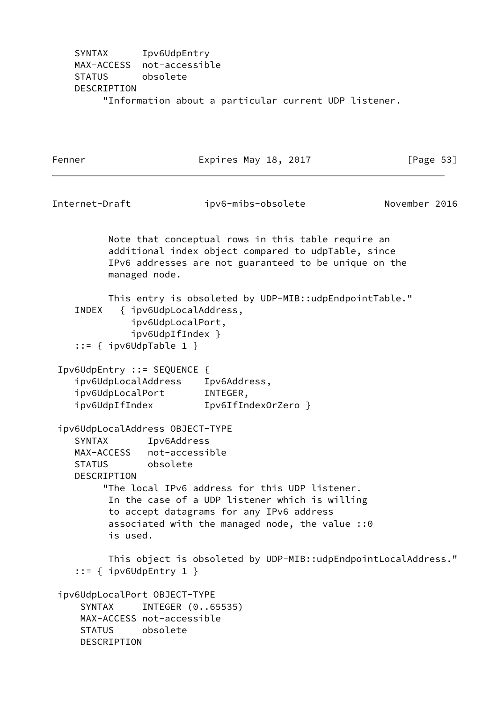SYNTAX Ipv6UdpEntry MAX-ACCESS not-accessible STATUS obsolete DESCRIPTION "Information about a particular current UDP listener.

Fenner Expires May 18, 2017 [Page 53] Internet-Draft ipv6-mibs-obsolete November 2016 Note that conceptual rows in this table require an additional index object compared to udpTable, since IPv6 addresses are not guaranteed to be unique on the managed node. This entry is obsoleted by UDP-MIB::udpEndpointTable." INDEX { ipv6UdpLocalAddress, ipv6UdpLocalPort, ipv6UdpIfIndex } ::= { ipv6UdpTable 1 } Ipv6UdpEntry ::= SEQUENCE { ipv6UdpLocalAddress Ipv6Address, ipv6UdpLocalPort INTEGER, ipv6UdpIfIndex Ipv6IfIndexOrZero } ipv6UdpLocalAddress OBJECT-TYPE SYNTAX Ipv6Address MAX-ACCESS not-accessible STATUS obsolete DESCRIPTION "The local IPv6 address for this UDP listener. In the case of a UDP listener which is willing to accept datagrams for any IPv6 address associated with the managed node, the value ::0 is used. This object is obsoleted by UDP-MIB::udpEndpointLocalAddress." ::= { ipv6UdpEntry 1 } ipv6UdpLocalPort OBJECT-TYPE SYNTAX INTEGER (0..65535) MAX-ACCESS not-accessible STATUS obsolete DESCRIPTION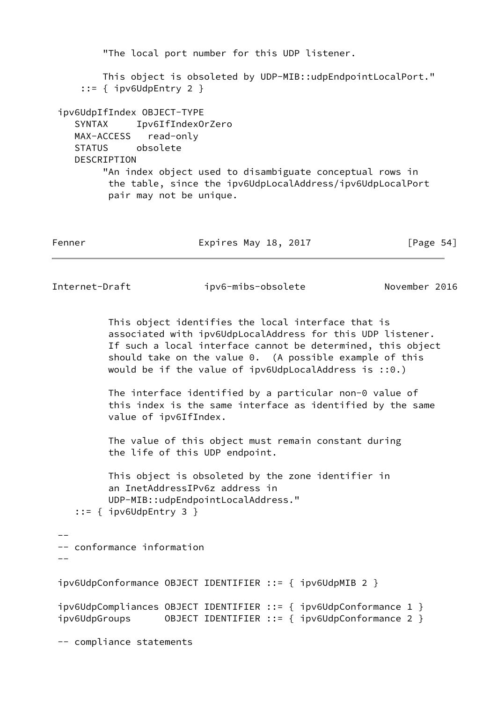```
 "The local port number for this UDP listener.
         This object is obsoleted by UDP-MIB::udpEndpointLocalPort."
      ::= { ipv6UdpEntry 2 }
 ipv6UdpIfIndex OBJECT-TYPE
    SYNTAX Ipv6IfIndexOrZero
    MAX-ACCESS read-only
    STATUS obsolete
   DESCRIPTION
         "An index object used to disambiguate conceptual rows in
          the table, since the ipv6UdpLocalAddress/ipv6UdpLocalPort
          pair may not be unique.
Fenner Expires May 18, 2017 [Page 54]
Internet-Draft ipv6-mibs-obsolete November 2016
          This object identifies the local interface that is
          associated with ipv6UdpLocalAddress for this UDP listener.
          If such a local interface cannot be determined, this object
          should take on the value 0. (A possible example of this
          would be if the value of ipv6UdpLocalAddress is ::0.)
          The interface identified by a particular non-0 value of
          this index is the same interface as identified by the same
          value of ipv6IfIndex.
          The value of this object must remain constant during
          the life of this UDP endpoint.
          This object is obsoleted by the zone identifier in
          an InetAddressIPv6z address in
          UDP-MIB::udpEndpointLocalAddress."
    ::= { ipv6UdpEntry 3 }
 --
 -- conformance information
- - ipv6UdpConformance OBJECT IDENTIFIER ::= { ipv6UdpMIB 2 }
 ipv6UdpCompliances OBJECT IDENTIFIER ::= { ipv6UdpConformance 1 }
 ipv6UdpGroups OBJECT IDENTIFIER ::= { ipv6UdpConformance 2 }
 -- compliance statements
```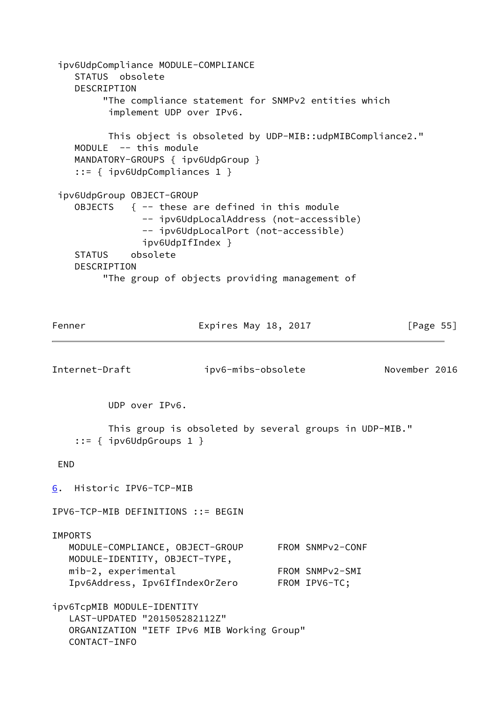<span id="page-62-0"></span> ipv6UdpCompliance MODULE-COMPLIANCE STATUS obsolete DESCRIPTION "The compliance statement for SNMPv2 entities which implement UDP over IPv6. This object is obsoleted by UDP-MIB::udpMIBCompliance2." MODULE -- this module MANDATORY-GROUPS { ipv6UdpGroup } ::= { ipv6UdpCompliances 1 } ipv6UdpGroup OBJECT-GROUP OBJECTS  $\{ --$  these are defined in this module -- ipv6UdpLocalAddress (not-accessible) -- ipv6UdpLocalPort (not-accessible) ipv6UdpIfIndex } STATUS obsolete DESCRIPTION "The group of objects providing management of Fenner Expires May 18, 2017 [Page 55] Internet-Draft ipv6-mibs-obsolete November 2016 UDP over IPv6. This group is obsoleted by several groups in UDP-MIB." ::= { ipv6UdpGroups 1 } END [6](#page-62-0). Historic IPV6-TCP-MIB IPV6-TCP-MIB DEFINITIONS ::= BEGIN IMPORTS MODULE-COMPLIANCE, OBJECT-GROUP FROM SNMPv2-CONF MODULE-IDENTITY, OBJECT-TYPE, mib-2, experimental FROM SNMPv2-SMI Ipv6Address, Ipv6IfIndexOrZero FROM IPV6-TC; ipv6TcpMIB MODULE-IDENTITY LAST-UPDATED "201505282112Z" ORGANIZATION "IETF IPv6 MIB Working Group" CONTACT-INFO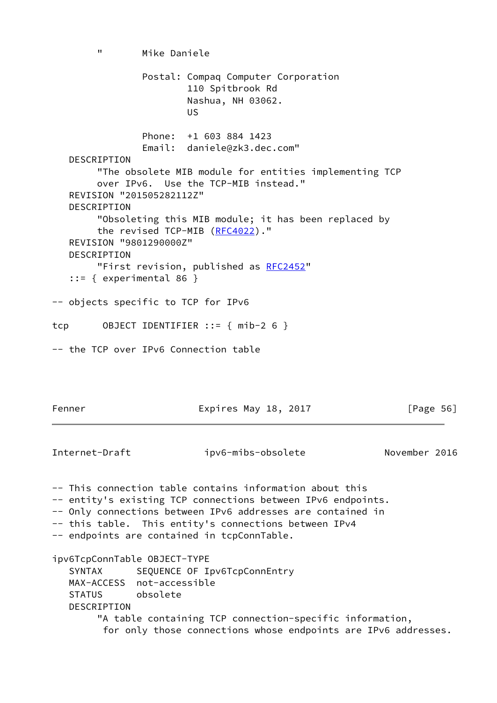" Mike Daniele Postal: Compaq Computer Corporation 110 Spitbrook Rd Nashua, NH 03062. **US** *US US*  Phone: +1 603 884 1423 Email: daniele@zk3.dec.com" **DESCRIPTION**  "The obsolete MIB module for entities implementing TCP over IPv6. Use the TCP-MIB instead." REVISION "201505282112Z" DESCRIPTION "Obsoleting this MIB module; it has been replaced by the revised TCP-MIB [\(RFC4022](https://datatracker.ietf.org/doc/pdf/rfc4022))." REVISION "9801290000Z" DESCRIPTION "First revision, published as [RFC2452](https://datatracker.ietf.org/doc/pdf/rfc2452)" ::= { experimental 86 } -- objects specific to TCP for IPv6 tcp OBJECT IDENTIFIER ::= { mib-2 6 } -- the TCP over IPv6 Connection table Fenner Expires May 18, 2017 [Page 56] Internet-Draft ipv6-mibs-obsolete November 2016 -- This connection table contains information about this -- entity's existing TCP connections between IPv6 endpoints. -- Only connections between IPv6 addresses are contained in -- this table. This entity's connections between IPv4 -- endpoints are contained in tcpConnTable.

ipv6TcpConnTable OBJECT-TYPE SYNTAX SEQUENCE OF Ipv6TcpConnEntry MAX-ACCESS not-accessible STATUS obsolete DESCRIPTION "A table containing TCP connection-specific information, for only those connections whose endpoints are IPv6 addresses.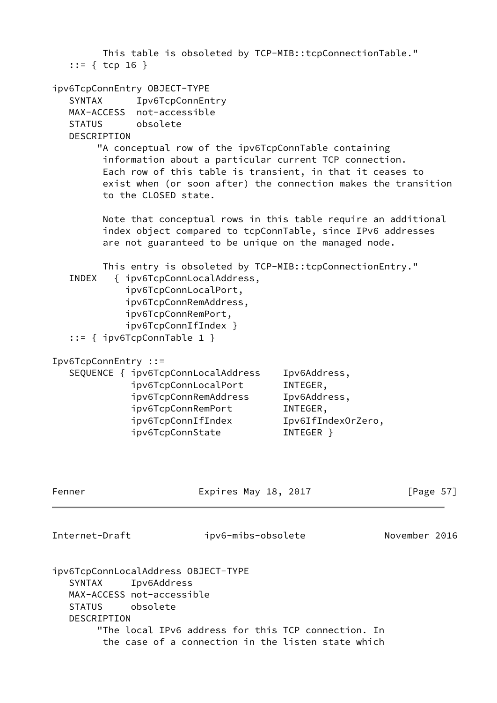|                                | $::= {$ tcp 16 }                                                                                                                        |                                                      | This table is obsoleted by TCP-MIB::tcpConnectionTable."                                                                                                                                                                                      |               |
|--------------------------------|-----------------------------------------------------------------------------------------------------------------------------------------|------------------------------------------------------|-----------------------------------------------------------------------------------------------------------------------------------------------------------------------------------------------------------------------------------------------|---------------|
| SYNTAX                         | ipv6TcpConnEntry OBJECT-TYPE<br>Ipv6TcpConnEntry<br>MAX-ACCESS not-accessible<br>STATUS obsolete<br>DESCRIPTION<br>to the CLOSED state. |                                                      | "A conceptual row of the ipv6TcpConnTable containing<br>information about a particular current TCP connection.<br>Each row of this table is transient, in that it ceases to<br>exist when (or soon after) the connection makes the transition |               |
|                                |                                                                                                                                         |                                                      | Note that conceptual rows in this table require an additional<br>index object compared to tcpConnTable, since IPv6 addresses<br>are not guaranteed to be unique on the managed node.                                                          |               |
| INDEX                          | ipv6TcpConnLocalPort,<br>ipv6TcpConnRemPort,<br>ipv6TcpConnIfIndex }<br>$::=$ { ipv6TcpConnTable 1 }                                    | { ipv6TcpConnLocalAddress,<br>ipv6TcpConnRemAddress, | This entry is obsoleted by TCP-MIB::tcpConnectionEntry."                                                                                                                                                                                      |               |
|                                | Ipv6TcpConnEntry ::=<br>SEQUENCE { ipv6TcpConnLocalAddress<br>ipv6TcpConnRemPort<br>ipv6TcpConnIfIndex<br>ipv6TcpConnState              | ipv6TcpConnLocalPort<br>ipv6TcpConnRemAddress        | Ipv6Address,<br>INTEGER,<br>Ipv6Address,<br>INTEGER,<br>Ipv6IfIndexOrZero,<br>INTEGER }                                                                                                                                                       |               |
| Fenner                         |                                                                                                                                         | Expires May 18, 2017                                 |                                                                                                                                                                                                                                               | [Page $57$ ]  |
| Internet-Draft                 |                                                                                                                                         | ipv6-mibs-obsolete                                   |                                                                                                                                                                                                                                               | November 2016 |
| <b>SYNTAX</b><br><b>STATUS</b> | ipv6TcpConnLocalAddress OBJECT-TYPE<br>Ipv6Address<br>MAX-ACCESS not-accessible<br>obsolete<br>DESCRIPTION                              |                                                      | "The local IPv6 address for this TCP connection. In                                                                                                                                                                                           |               |

the case of a connection in the listen state which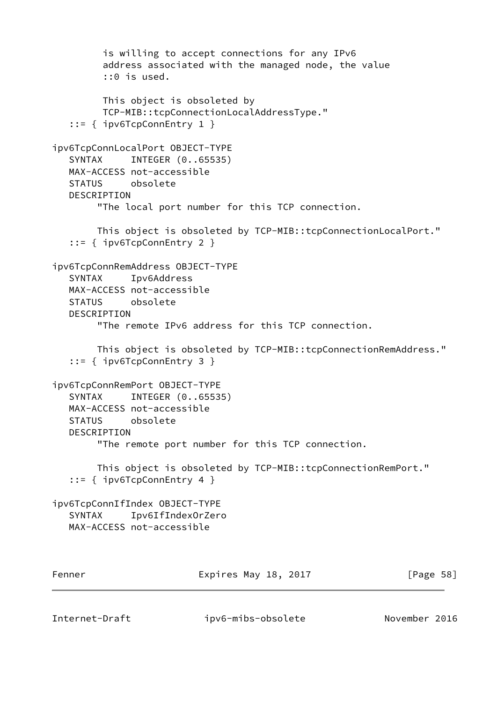```
 is willing to accept connections for any IPv6
         address associated with the managed node, the value
          ::0 is used.
         This object is obsoleted by
         TCP-MIB::tcpConnectionLocalAddressType."
    ::= { ipv6TcpConnEntry 1 }
ipv6TcpConnLocalPort OBJECT-TYPE
   SYNTAX INTEGER (0..65535)
   MAX-ACCESS not-accessible
   STATUS obsolete
   DESCRIPTION
        "The local port number for this TCP connection.
        This object is obsoleted by TCP-MIB::tcpConnectionLocalPort."
    ::= { ipv6TcpConnEntry 2 }
ipv6TcpConnRemAddress OBJECT-TYPE
   SYNTAX Ipv6Address
   MAX-ACCESS not-accessible
   STATUS obsolete
   DESCRIPTION
        "The remote IPv6 address for this TCP connection.
        This object is obsoleted by TCP-MIB::tcpConnectionRemAddress."
    ::= { ipv6TcpConnEntry 3 }
ipv6TcpConnRemPort OBJECT-TYPE
  SYNTAX INTEGER (0..65535)
   MAX-ACCESS not-accessible
   STATUS obsolete
   DESCRIPTION
        "The remote port number for this TCP connection.
        This object is obsoleted by TCP-MIB::tcpConnectionRemPort."
    ::= { ipv6TcpConnEntry 4 }
ipv6TcpConnIfIndex OBJECT-TYPE
   SYNTAX Ipv6IfIndexOrZero
   MAX-ACCESS not-accessible
Fenner Expires May 18, 2017 [Page 58]
```
Internet-Draft ipv6-mibs-obsolete November 2016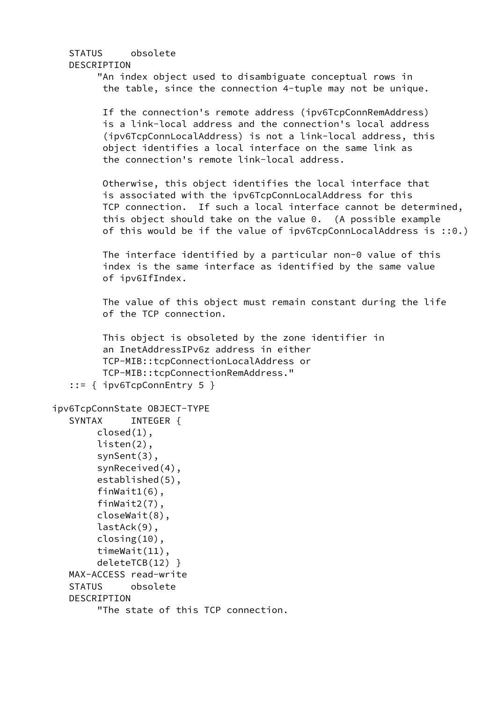```
 STATUS obsolete
   DESCRIPTION
         "An index object used to disambiguate conceptual rows in
          the table, since the connection 4-tuple may not be unique.
          If the connection's remote address (ipv6TcpConnRemAddress)
          is a link-local address and the connection's local address
          (ipv6TcpConnLocalAddress) is not a link-local address, this
          object identifies a local interface on the same link as
          the connection's remote link-local address.
          Otherwise, this object identifies the local interface that
          is associated with the ipv6TcpConnLocalAddress for this
          TCP connection. If such a local interface cannot be determined,
          this object should take on the value 0. (A possible example
          of this would be if the value of ipv6TcpConnLocalAddress is ::0.)
          The interface identified by a particular non-0 value of this
          index is the same interface as identified by the same value
          of ipv6IfIndex.
          The value of this object must remain constant during the life
          of the TCP connection.
          This object is obsoleted by the zone identifier in
          an InetAddressIPv6z address in either
          TCP-MIB::tcpConnectionLocalAddress or
          TCP-MIB::tcpConnectionRemAddress."
    ::= { ipv6TcpConnEntry 5 }
ipv6TcpConnState OBJECT-TYPE
    SYNTAX INTEGER {
         closed(1),
         listen(2),
         synSent(3),
         synReceived(4),
         established(5),
         finWait1(6),
         finWait2(7),
         closeWait(8),
         lastAck(9),
         closing(10),
         timeWait(11),
         deleteTCB(12) }
   MAX-ACCESS read-write
   STATUS obsolete
   DESCRIPTION
         "The state of this TCP connection.
```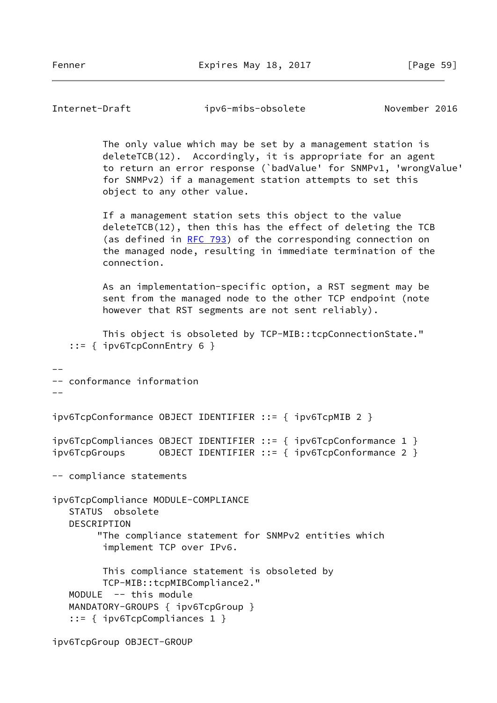Internet-Draft ipv6-mibs-obsolete November 2016 The only value which may be set by a management station is deleteTCB(12). Accordingly, it is appropriate for an agent to return an error response (`badValue' for SNMPv1, 'wrongValue' for SNMPv2) if a management station attempts to set this object to any other value. If a management station sets this object to the value deleteTCB(12), then this has the effect of deleting the TCB (as defined in [RFC 793](https://datatracker.ietf.org/doc/pdf/rfc793)) of the corresponding connection on the managed node, resulting in immediate termination of the connection. As an implementation-specific option, a RST segment may be sent from the managed node to the other TCP endpoint (note however that RST segments are not sent reliably). This object is obsoleted by TCP-MIB::tcpConnectionState." ::= { ipv6TcpConnEntry 6 } -- -- conformance information  $$ ipv6TcpConformance OBJECT IDENTIFIER ::= { ipv6TcpMIB 2 } ipv6TcpCompliances OBJECT IDENTIFIER ::= { ipv6TcpConformance 1 } ipv6TcpGroups OBJECT IDENTIFIER ::= { ipv6TcpConformance 2 } -- compliance statements ipv6TcpCompliance MODULE-COMPLIANCE STATUS obsolete DESCRIPTION "The compliance statement for SNMPv2 entities which implement TCP over IPv6. This compliance statement is obsoleted by TCP-MIB::tcpMIBCompliance2." MODULE -- this module MANDATORY-GROUPS { ipv6TcpGroup } ::= { ipv6TcpCompliances 1 } ipv6TcpGroup OBJECT-GROUP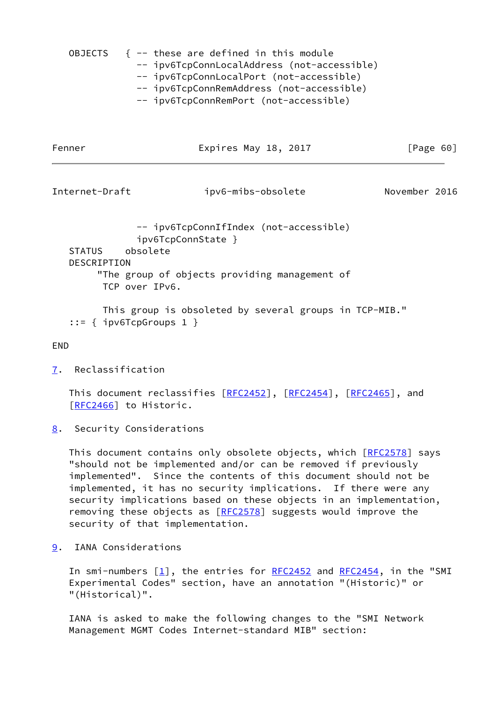|  | OBJECTS $\{- -$ these are defined in this module                                                                                                                                                                                                                                                                                                                      |
|--|-----------------------------------------------------------------------------------------------------------------------------------------------------------------------------------------------------------------------------------------------------------------------------------------------------------------------------------------------------------------------|
|  | -- ipv6TcpConnLocalAddress (not-accessible)                                                                                                                                                                                                                                                                                                                           |
|  | -- ipv6TcpConnLocalPort (not-accessible)                                                                                                                                                                                                                                                                                                                              |
|  | -- ipv6TcpConnRemAddress (not-accessible)                                                                                                                                                                                                                                                                                                                             |
|  | $\mathcal{L}_{\mathcal{L}}$ . $\mathcal{L}_{\mathcal{L}}$ . $\mathcal{L}_{\mathcal{L}}$ . $\mathcal{L}_{\mathcal{L}}$ . $\mathcal{L}_{\mathcal{L}}$ . $\mathcal{L}_{\mathcal{L}}$ . $\mathcal{L}_{\mathcal{L}}$ . $\mathcal{L}_{\mathcal{L}}$ . $\mathcal{L}_{\mathcal{L}}$ . $\mathcal{L}_{\mathcal{L}}$ . $\mathcal{L}_{\mathcal{L}}$ . $\mathcal{L}_{\mathcal{L}}$ |

-- ipv6TcpConnRemPort (not-accessible)

Fenner Expires May 18, 2017 [Page 60]

Internet-Draft ipv6-mibs-obsolete November 2016

 -- ipv6TcpConnIfIndex (not-accessible) ipv6TcpConnState } STATUS obsolete DESCRIPTION "The group of objects providing management of TCP over IPv6.

 This group is obsoleted by several groups in TCP-MIB." ::=  $\{$  ipv6TcpGroups 1  $\}$ 

END

<span id="page-68-0"></span>[7](#page-68-0). Reclassification

This document reclassifies [[RFC2452\]](https://datatracker.ietf.org/doc/pdf/rfc2452), [[RFC2454](https://datatracker.ietf.org/doc/pdf/rfc2454)], [\[RFC2465](https://datatracker.ietf.org/doc/pdf/rfc2465)], and [\[RFC2466](https://datatracker.ietf.org/doc/pdf/rfc2466)] to Historic.

<span id="page-68-1"></span>[8](#page-68-1). Security Considerations

This document contains only obsolete objects, which [\[RFC2578](https://datatracker.ietf.org/doc/pdf/rfc2578)] says "should not be implemented and/or can be removed if previously implemented". Since the contents of this document should not be implemented, it has no security implications. If there were any security implications based on these objects in an implementation, removing these objects as [[RFC2578](https://datatracker.ietf.org/doc/pdf/rfc2578)] suggests would improve the security of that implementation.

<span id="page-68-2"></span>[9](#page-68-2). IANA Considerations

In smi-numbers  $[1]$  $[1]$ , the entries for [RFC2452](https://datatracker.ietf.org/doc/pdf/rfc2452) and [RFC2454](https://datatracker.ietf.org/doc/pdf/rfc2454), in the "SMI Experimental Codes" section, have an annotation "(Historic)" or "(Historical)".

 IANA is asked to make the following changes to the "SMI Network Management MGMT Codes Internet-standard MIB" section: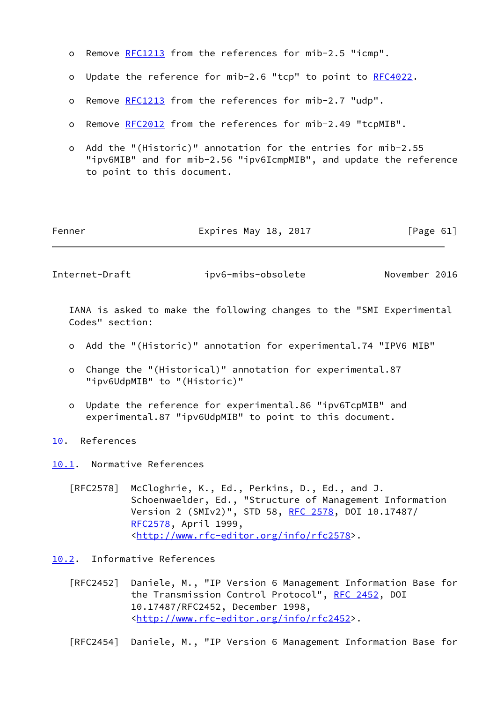- o Remove [RFC1213](https://datatracker.ietf.org/doc/pdf/rfc1213) from the references for mib-2.5 "icmp".
- o Update the reference for mib-2.6 "tcp" to point to [RFC4022](https://datatracker.ietf.org/doc/pdf/rfc4022).
- o Remove [RFC1213](https://datatracker.ietf.org/doc/pdf/rfc1213) from the references for mib-2.7 "udp".
- o Remove [RFC2012](https://datatracker.ietf.org/doc/pdf/rfc2012) from the references for mib-2.49 "tcpMIB".
- o Add the "(Historic)" annotation for the entries for mib-2.55 "ipv6MIB" and for mib-2.56 "ipv6IcmpMIB", and update the reference to point to this document.

| Fenner | Expires May 18, 2017 |  |  | [Page 61] |  |
|--------|----------------------|--|--|-----------|--|
|--------|----------------------|--|--|-----------|--|

Internet-Draft ipv6-mibs-obsolete November 2016

 IANA is asked to make the following changes to the "SMI Experimental Codes" section:

- o Add the "(Historic)" annotation for experimental.74 "IPV6 MIB"
- o Change the "(Historical)" annotation for experimental.87 "ipv6UdpMIB" to "(Historic)"
- o Update the reference for experimental.86 "ipv6TcpMIB" and experimental.87 "ipv6UdpMIB" to point to this document.

<span id="page-69-0"></span>[10.](#page-69-0) References

<span id="page-69-1"></span>[10.1](#page-69-1). Normative References

 [RFC2578] McCloghrie, K., Ed., Perkins, D., Ed., and J. Schoenwaelder, Ed., "Structure of Management Information Version 2 (SMIv2)", STD 58, [RFC 2578,](https://datatracker.ietf.org/doc/pdf/rfc2578) DOI 10.17487/ [RFC2578](https://datatracker.ietf.org/doc/pdf/rfc2578), April 1999, <<http://www.rfc-editor.org/info/rfc2578>>.

<span id="page-69-2"></span>[10.2](#page-69-2). Informative References

 [RFC2452] Daniele, M., "IP Version 6 Management Information Base for the Transmission Control Protocol", [RFC 2452,](https://datatracker.ietf.org/doc/pdf/rfc2452) DOI 10.17487/RFC2452, December 1998, <<http://www.rfc-editor.org/info/rfc2452>>.

[RFC2454] Daniele, M., "IP Version 6 Management Information Base for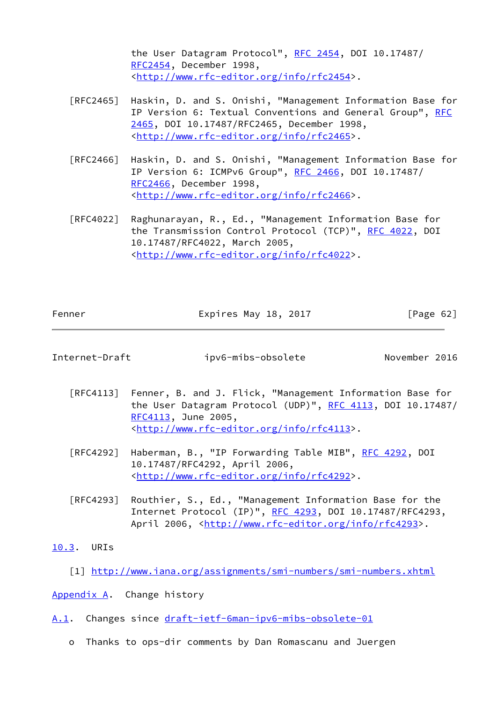the User Datagram Protocol", [RFC 2454](https://datatracker.ietf.org/doc/pdf/rfc2454), DOI 10.17487/ [RFC2454](https://datatracker.ietf.org/doc/pdf/rfc2454), December 1998, <<http://www.rfc-editor.org/info/rfc2454>>.

- [RFC2465] Haskin, D. and S. Onishi, "Management Information Base for IP Version 6: Textual Conventions and General Group", [RFC](https://datatracker.ietf.org/doc/pdf/rfc2465) [2465,](https://datatracker.ietf.org/doc/pdf/rfc2465) DOI 10.17487/RFC2465, December 1998, <<http://www.rfc-editor.org/info/rfc2465>>.
- [RFC2466] Haskin, D. and S. Onishi, "Management Information Base for IP Version 6: ICMPv6 Group", [RFC 2466](https://datatracker.ietf.org/doc/pdf/rfc2466), DOI 10.17487/ [RFC2466](https://datatracker.ietf.org/doc/pdf/rfc2466), December 1998, <<http://www.rfc-editor.org/info/rfc2466>>.
- [RFC4022] Raghunarayan, R., Ed., "Management Information Base for the Transmission Control Protocol (TCP)", [RFC 4022](https://datatracker.ietf.org/doc/pdf/rfc4022), DOI 10.17487/RFC4022, March 2005, <<http://www.rfc-editor.org/info/rfc4022>>.

| Fenner | Expires May 18, 2017 | [Page 62] |
|--------|----------------------|-----------|
|        |                      |           |

| Internet-Draft | ipv6-mibs-obsolete | November 2016 |  |
|----------------|--------------------|---------------|--|

- [RFC4113] Fenner, B. and J. Flick, "Management Information Base for the User Datagram Protocol (UDP)", [RFC 4113](https://datatracker.ietf.org/doc/pdf/rfc4113), DOI 10.17487/ [RFC4113](https://datatracker.ietf.org/doc/pdf/rfc4113), June 2005, <<http://www.rfc-editor.org/info/rfc4113>>.
- [RFC4292] Haberman, B., "IP Forwarding Table MIB", [RFC 4292,](https://datatracker.ietf.org/doc/pdf/rfc4292) DOI 10.17487/RFC4292, April 2006, <<http://www.rfc-editor.org/info/rfc4292>>.
- [RFC4293] Routhier, S., Ed., "Management Information Base for the Internet Protocol (IP)", [RFC 4293,](https://datatracker.ietf.org/doc/pdf/rfc4293) DOI 10.17487/RFC4293, April 2006, [<http://www.rfc-editor.org/info/rfc4293](http://www.rfc-editor.org/info/rfc4293)>.

## <span id="page-70-1"></span>[10.3](#page-70-1). URIs

<span id="page-70-0"></span>[1] <http://www.iana.org/assignments/smi-numbers/smi-numbers.xhtml>

<span id="page-70-2"></span>[Appendix A.](#page-70-2) Change history

- <span id="page-70-3"></span>[A.1](#page-70-3). Changes since [draft-ietf-6man-ipv6-mibs-obsolete-01](https://datatracker.ietf.org/doc/pdf/draft-ietf-6man-ipv6-mibs-obsolete-01)
	- o Thanks to ops-dir comments by Dan Romascanu and Juergen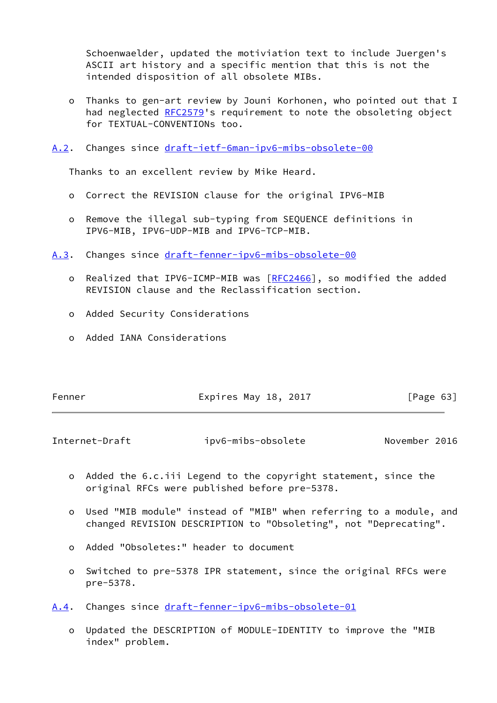Schoenwaelder, updated the motiviation text to include Juergen's ASCII art history and a specific mention that this is not the intended disposition of all obsolete MIBs.

 o Thanks to gen-art review by Jouni Korhonen, who pointed out that I had neglected [RFC2579](https://datatracker.ietf.org/doc/pdf/rfc2579)'s requirement to note the obsoleting object for TEXTUAL-CONVENTIONs too.

<span id="page-71-0"></span>[A.2](#page-71-0). Changes since [draft-ietf-6man-ipv6-mibs-obsolete-00](https://datatracker.ietf.org/doc/pdf/draft-ietf-6man-ipv6-mibs-obsolete-00)

Thanks to an excellent review by Mike Heard.

- o Correct the REVISION clause for the original IPV6-MIB
- o Remove the illegal sub-typing from SEQUENCE definitions in IPV6-MIB, IPV6-UDP-MIB and IPV6-TCP-MIB.

<span id="page-71-1"></span>[A.3](#page-71-1). Changes since [draft-fenner-ipv6-mibs-obsolete-00](https://datatracker.ietf.org/doc/pdf/draft-fenner-ipv6-mibs-obsolete-00)

- o Realized that IPV6-ICMP-MIB was [[RFC2466\]](https://datatracker.ietf.org/doc/pdf/rfc2466), so modified the added REVISION clause and the Reclassification section.
- o Added Security Considerations
- o Added IANA Considerations

| Fenner | Expires May 18, 2017 | [Page 63] |  |
|--------|----------------------|-----------|--|
|        |                      |           |  |

Internet-Draft ipv6-mibs-obsolete November 2016

- o Added the 6.c.iii Legend to the copyright statement, since the original RFCs were published before pre-5378.
- o Used "MIB module" instead of "MIB" when referring to a module, and changed REVISION DESCRIPTION to "Obsoleting", not "Deprecating".
- o Added "Obsoletes:" header to document
- o Switched to pre-5378 IPR statement, since the original RFCs were pre-5378.

<span id="page-71-2"></span>[A.4](#page-71-2). Changes since [draft-fenner-ipv6-mibs-obsolete-01](https://datatracker.ietf.org/doc/pdf/draft-fenner-ipv6-mibs-obsolete-01)

 o Updated the DESCRIPTION of MODULE-IDENTITY to improve the "MIB index" problem.